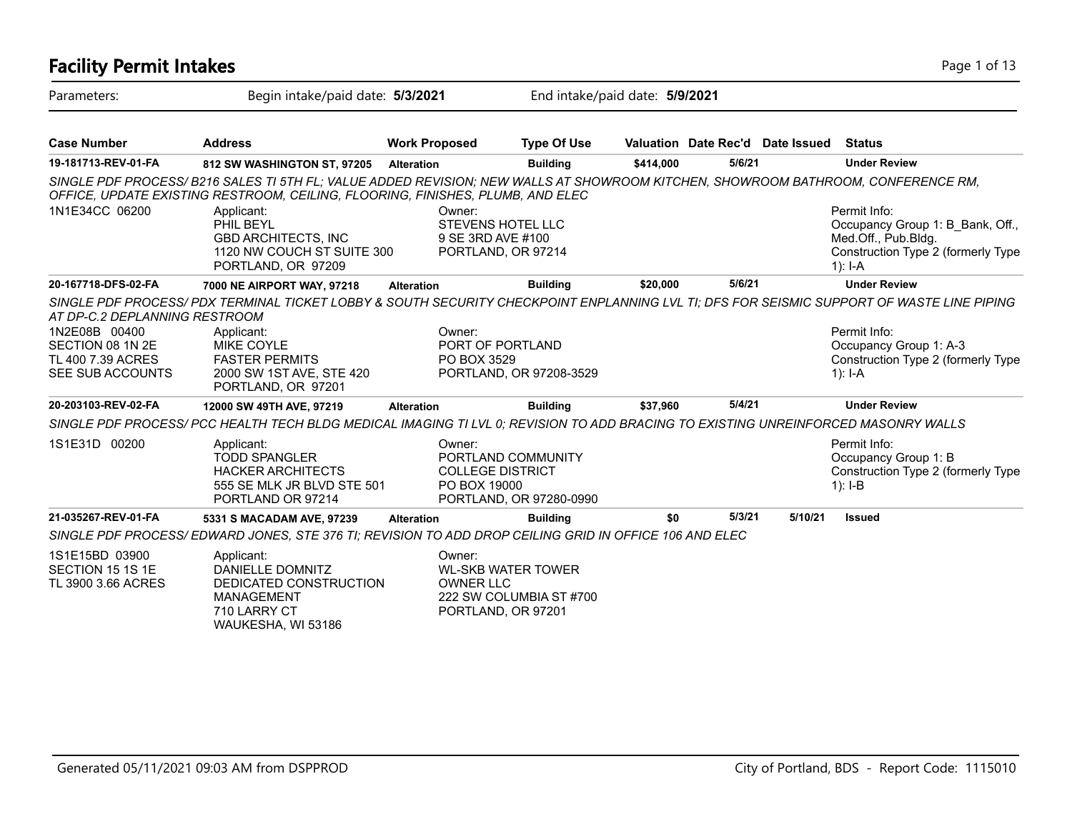| Parameters:                                                                | Begin intake/paid date: 5/3/2021                                                                                                                                                                                  |                            | End intake/paid date: 5/9/2021                                             |           |        |                                  |                                                                                                                            |  |  |  |
|----------------------------------------------------------------------------|-------------------------------------------------------------------------------------------------------------------------------------------------------------------------------------------------------------------|----------------------------|----------------------------------------------------------------------------|-----------|--------|----------------------------------|----------------------------------------------------------------------------------------------------------------------------|--|--|--|
| <b>Case Number</b>                                                         | <b>Address</b>                                                                                                                                                                                                    | <b>Work Proposed</b>       | <b>Type Of Use</b>                                                         |           |        | Valuation Date Rec'd Date Issued | <b>Status</b>                                                                                                              |  |  |  |
| 19-181713-REV-01-FA                                                        | 812 SW WASHINGTON ST, 97205                                                                                                                                                                                       | <b>Alteration</b>          | <b>Building</b>                                                            | \$414,000 | 5/6/21 |                                  | <b>Under Review</b>                                                                                                        |  |  |  |
|                                                                            | SINGLE PDF PROCESS/B216 SALES TI 5TH FL; VALUE ADDED REVISION; NEW WALLS AT SHOWROOM KITCHEN, SHOWROOM BATHROOM, CONFERENCE RM,<br>OFFICE, UPDATE EXISTING RESTROOM, CEILING, FLOORING, FINISHES, PLUMB, AND ELEC |                            |                                                                            |           |        |                                  |                                                                                                                            |  |  |  |
| 1N1E34CC 06200                                                             | Applicant:<br>PHIL BEYL<br><b>GBD ARCHITECTS, INC</b><br>1120 NW COUCH ST SUITE 300<br>PORTLAND, OR 97209                                                                                                         | Owner:                     | <b>STEVENS HOTEL LLC</b><br>9 SE 3RD AVE #100<br>PORTLAND, OR 97214        |           |        |                                  | Permit Info:<br>Occupancy Group 1: B Bank, Off.,<br>Med.Off., Pub.Bldg.<br>Construction Type 2 (formerly Type<br>$1$ : I-A |  |  |  |
| 20-167718-DFS-02-FA                                                        | 7000 NE AIRPORT WAY, 97218                                                                                                                                                                                        | <b>Alteration</b>          | <b>Building</b>                                                            | \$20,000  | 5/6/21 |                                  | <b>Under Review</b>                                                                                                        |  |  |  |
| AT DP-C.2 DEPLANNING RESTROOM                                              | SINGLE PDF PROCESS/ PDX TERMINAL TICKET LOBBY & SOUTH SECURITY CHECKPOINT ENPLANNING LVL TI; DFS FOR SEISMIC SUPPORT OF WASTE LINE PIPING                                                                         |                            |                                                                            |           |        |                                  |                                                                                                                            |  |  |  |
| 1N2E08B 00400<br>SECTION 08 1N 2E<br>TL 400 7.39 ACRES<br>SEE SUB ACCOUNTS | Applicant:<br><b>MIKE COYLE</b><br><b>FASTER PERMITS</b><br>2000 SW 1ST AVE, STE 420<br>PORTLAND, OR 97201                                                                                                        | Owner:<br>PO BOX 3529      | PORT OF PORTLAND<br>PORTLAND, OR 97208-3529                                |           |        |                                  | Permit Info:<br>Occupancy Group 1: A-3<br>Construction Type 2 (formerly Type<br>1): $I-A$                                  |  |  |  |
| 20-203103-REV-02-FA                                                        | 12000 SW 49TH AVE, 97219                                                                                                                                                                                          | <b>Alteration</b>          | <b>Building</b>                                                            | \$37,960  | 5/4/21 |                                  | <b>Under Review</b>                                                                                                        |  |  |  |
|                                                                            | SINGLE PDF PROCESS/ PCC HEALTH TECH BLDG MEDICAL IMAGING TI LVL 0; REVISION TO ADD BRACING TO EXISTING UNREINFORCED MASONRY WALLS                                                                                 |                            |                                                                            |           |        |                                  |                                                                                                                            |  |  |  |
| 1S1E31D 00200                                                              | Applicant:<br><b>TODD SPANGLER</b><br><b>HACKER ARCHITECTS</b><br>555 SE MLK JR BLVD STE 501<br>PORTLAND OR 97214                                                                                                 | Owner:<br>PO BOX 19000     | PORTLAND COMMUNITY<br><b>COLLEGE DISTRICT</b><br>PORTLAND, OR 97280-0990   |           |        |                                  | Permit Info:<br>Occupancy Group 1: B<br>Construction Type 2 (formerly Type<br>$1$ : I-B                                    |  |  |  |
| 21-035267-REV-01-FA                                                        | 5331 S MACADAM AVE, 97239                                                                                                                                                                                         | <b>Alteration</b>          | <b>Building</b>                                                            | \$0       | 5/3/21 | 5/10/21                          | <b>Issued</b>                                                                                                              |  |  |  |
|                                                                            | SINGLE PDF PROCESS/EDWARD JONES, STE 376 TI; REVISION TO ADD DROP CEILING GRID IN OFFICE 106 AND ELEC                                                                                                             |                            |                                                                            |           |        |                                  |                                                                                                                            |  |  |  |
| 1S1E15BD 03900<br>SECTION 15 1S 1E<br>TL 3900 3.66 ACRES                   | Applicant:<br>DANIELLE DOMNITZ<br>DEDICATED CONSTRUCTION<br><b>MANAGEMENT</b><br>710 LARRY CT<br>WAUKESHA, WI 53186                                                                                               | Owner:<br><b>OWNER LLC</b> | <b>WL-SKB WATER TOWER</b><br>222 SW COLUMBIA ST #700<br>PORTLAND, OR 97201 |           |        |                                  |                                                                                                                            |  |  |  |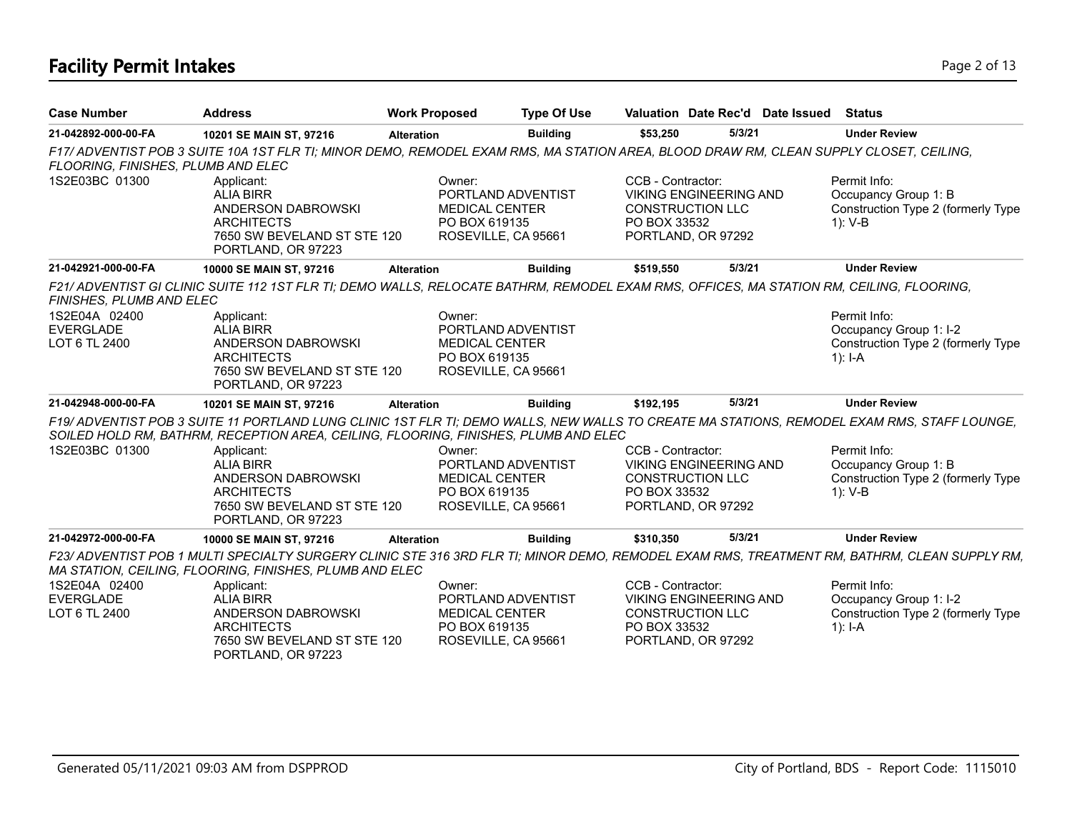# **Facility Permit Intakes** Page 2 of 13

| <b>Case Number</b>                                 | <b>Address</b>                                                                                                                           | <b>Work Proposed</b>                             | <b>Type Of Use</b>                        |                                                                                    | Valuation Date Rec'd Date Issued | Status                                                                                                                                       |
|----------------------------------------------------|------------------------------------------------------------------------------------------------------------------------------------------|--------------------------------------------------|-------------------------------------------|------------------------------------------------------------------------------------|----------------------------------|----------------------------------------------------------------------------------------------------------------------------------------------|
| 21-042892-000-00-FA                                | 10201 SE MAIN ST, 97216                                                                                                                  | <b>Alteration</b>                                | <b>Building</b>                           | \$53,250                                                                           | 5/3/21                           | <b>Under Review</b>                                                                                                                          |
| FLOORING, FINISHES, PLUMB AND ELEC                 | F17/ ADVENTIST POB 3 SUITE 10A 1ST FLR TI; MINOR DEMO, REMODEL EXAM RMS, MA STATION AREA, BLOOD DRAW RM, CLEAN SUPPLY CLOSET, CEILING,   |                                                  |                                           |                                                                                    |                                  |                                                                                                                                              |
| 1S2E03BC 01300                                     | Applicant:<br><b>ALIA BIRR</b><br>ANDERSON DABROWSKI<br><b>ARCHITECTS</b><br>7650 SW BEVELAND ST STE 120<br>PORTLAND, OR 97223           | Owner:<br><b>MEDICAL CENTER</b><br>PO BOX 619135 | PORTLAND ADVENTIST<br>ROSEVILLE, CA 95661 | CCB - Contractor:<br><b>CONSTRUCTION LLC</b><br>PO BOX 33532<br>PORTLAND, OR 97292 | <b>VIKING ENGINEERING AND</b>    | Permit Info:<br>Occupancy Group 1: B<br>Construction Type 2 (formerly Type<br>$1): V-B$                                                      |
| 21-042921-000-00-FA                                | 10000 SE MAIN ST, 97216                                                                                                                  | <b>Alteration</b>                                | <b>Building</b>                           | \$519,550                                                                          | 5/3/21                           | <b>Under Review</b>                                                                                                                          |
| FINISHES, PLUMB AND ELEC                           | F21/ ADVENTIST GI CLINIC SUITE 112 1ST FLR TI; DEMO WALLS, RELOCATE BATHRM, REMODEL EXAM RMS, OFFICES, MA STATION RM, CEILING, FLOORING, |                                                  |                                           |                                                                                    |                                  |                                                                                                                                              |
| 1S2E04A 02400<br><b>EVERGLADE</b><br>LOT 6 TL 2400 | Applicant:<br><b>ALIA BIRR</b><br>ANDERSON DABROWSKI<br><b>ARCHITECTS</b><br>7650 SW BEVELAND ST STE 120<br>PORTLAND, OR 97223           | Owner:<br><b>MEDICAL CENTER</b><br>PO BOX 619135 | PORTLAND ADVENTIST<br>ROSEVILLE, CA 95661 |                                                                                    |                                  | Permit Info:<br>Occupancy Group 1: I-2<br>Construction Type 2 (formerly Type<br>1): $I - A$                                                  |
| 21-042948-000-00-FA                                | 10201 SE MAIN ST, 97216                                                                                                                  | <b>Alteration</b>                                | <b>Building</b>                           | \$192.195                                                                          | 5/3/21                           | <b>Under Review</b>                                                                                                                          |
|                                                    | SOILED HOLD RM, BATHRM, RECEPTION AREA, CEILING, FLOORING, FINISHES, PLUMB AND ELEC                                                      |                                                  |                                           |                                                                                    |                                  | F19/ ADVENTIST POB 3 SUITE 11 PORTLAND LUNG CLINIC 1ST FLR TI; DEMO WALLS, NEW WALLS TO CREATE MA STATIONS, REMODEL EXAM RMS, STAFF LOUNGE,  |
| 1S2E03BC 01300                                     | Applicant:<br><b>ALIA BIRR</b><br>ANDERSON DABROWSKI<br><b>ARCHITECTS</b><br>7650 SW BEVELAND ST STE 120<br>PORTLAND, OR 97223           | Owner:<br><b>MEDICAL CENTER</b><br>PO BOX 619135 | PORTLAND ADVENTIST<br>ROSEVILLE, CA 95661 | CCB - Contractor:<br><b>CONSTRUCTION LLC</b><br>PO BOX 33532<br>PORTLAND, OR 97292 | <b>VIKING ENGINEERING AND</b>    | Permit Info:<br>Occupancy Group 1: B<br>Construction Type 2 (formerly Type<br>1): V-B                                                        |
| 21-042972-000-00-FA                                | 10000 SE MAIN ST, 97216                                                                                                                  | <b>Alteration</b>                                | <b>Building</b>                           | \$310,350                                                                          | 5/3/21                           | <b>Under Review</b>                                                                                                                          |
|                                                    | MA STATION, CEILING, FLOORING, FINISHES, PLUMB AND ELEC                                                                                  |                                                  |                                           |                                                                                    |                                  | F23/ ADVENTIST POB 1 MULTI SPECIALTY SURGERY CLINIC STE 316 3RD FLR TI; MINOR DEMO, REMODEL EXAM RMS, TREATMENT RM, BATHRM, CLEAN SUPPLY RM, |
| 1S2E04A 02400                                      | Applicant:                                                                                                                               | Owner:                                           |                                           | CCB - Contractor:                                                                  |                                  | Permit Info:                                                                                                                                 |
| <b>EVERGLADE</b><br>LOT 6 TL 2400                  | <b>ALIA BIRR</b><br>ANDERSON DABROWSKI<br><b>ARCHITECTS</b><br>7650 SW BEVELAND ST STE 120<br>PORTLAND, OR 97223                         | <b>MEDICAL CENTER</b><br>PO BOX 619135           | PORTLAND ADVENTIST<br>ROSEVILLE, CA 95661 | <b>CONSTRUCTION LLC</b><br>PO BOX 33532<br>PORTLAND, OR 97292                      | <b>VIKING ENGINEERING AND</b>    | Occupancy Group 1: I-2<br>Construction Type 2 (formerly Type<br>1): $I - A$                                                                  |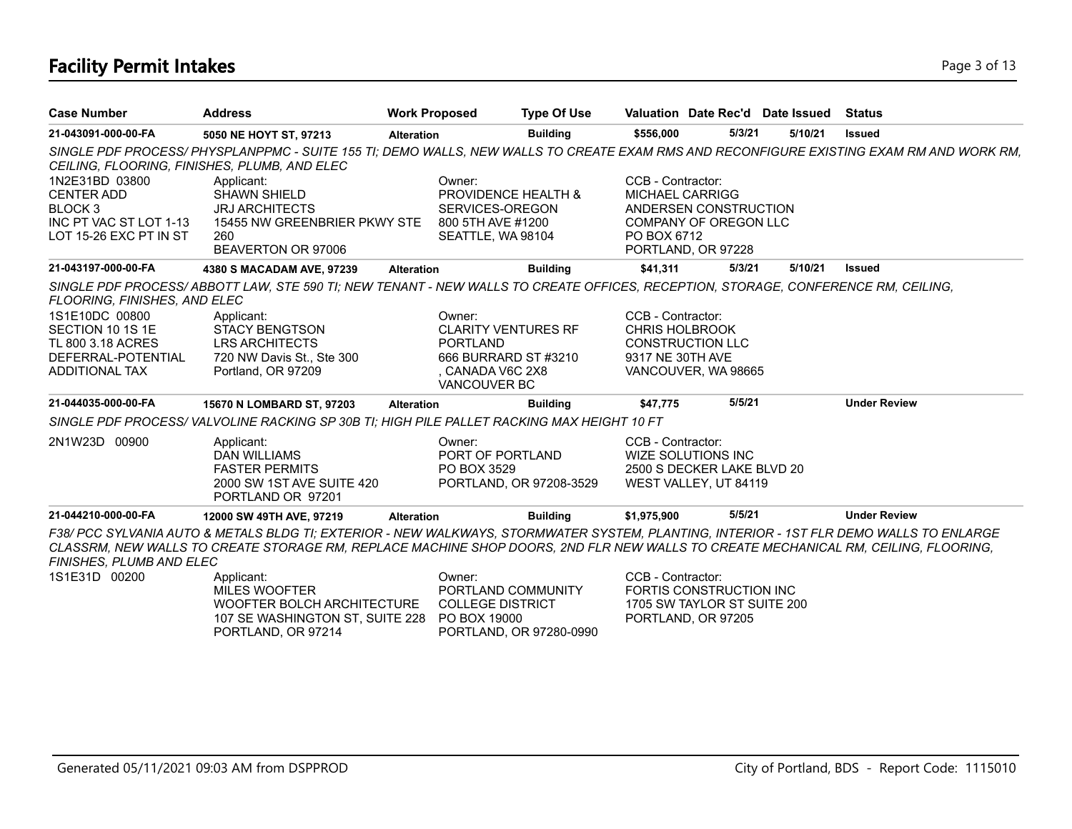# **Facility Permit Intakes** Page 3 of 13

| <b>Case Number</b>                                                                                            | <b>Address</b>                                                                                                                                                                                                                                                                | <b>Work Proposed</b> |                                                                                                     | <b>Type Of Use</b>      |                                                                | Valuation Date Rec'd Date Issued                                                 |         | Status                                                                                                                                 |
|---------------------------------------------------------------------------------------------------------------|-------------------------------------------------------------------------------------------------------------------------------------------------------------------------------------------------------------------------------------------------------------------------------|----------------------|-----------------------------------------------------------------------------------------------------|-------------------------|----------------------------------------------------------------|----------------------------------------------------------------------------------|---------|----------------------------------------------------------------------------------------------------------------------------------------|
| 21-043091-000-00-FA                                                                                           | 5050 NE HOYT ST, 97213                                                                                                                                                                                                                                                        | <b>Alteration</b>    |                                                                                                     | <b>Building</b>         | \$556,000                                                      | 5/3/21                                                                           | 5/10/21 | <b>Issued</b>                                                                                                                          |
| CEILING, FLOORING, FINISHES, PLUMB, AND ELEC                                                                  |                                                                                                                                                                                                                                                                               |                      |                                                                                                     |                         |                                                                |                                                                                  |         | SINGLE PDF PROCESS/PHYSPLANPPMC - SUITE 155 TI; DEMO WALLS, NEW WALLS TO CREATE EXAM RMS AND RECONFIGURE EXISTING EXAM RM AND WORK RM, |
| 1N2E31BD 03800<br><b>CENTER ADD</b><br>BLOCK <sub>3</sub><br>INC PT VAC ST LOT 1-13<br>LOT 15-26 EXC PT IN ST | Applicant:<br><b>SHAWN SHIELD</b><br><b>JRJ ARCHITECTS</b><br>15455 NW GREENBRIER PKWY STE<br>260                                                                                                                                                                             |                      | Owner:<br>PROVIDENCE HEALTH &<br>SERVICES-OREGON<br>800 5TH AVE #1200<br>SEATTLE, WA 98104          |                         | CCB - Contractor:<br><b>MICHAEL CARRIGG</b><br>PO BOX 6712     | ANDERSEN CONSTRUCTION<br><b>COMPANY OF OREGON LLC</b>                            |         |                                                                                                                                        |
|                                                                                                               | BEAVERTON OR 97006                                                                                                                                                                                                                                                            |                      |                                                                                                     |                         |                                                                | PORTLAND, OR 97228                                                               |         |                                                                                                                                        |
| 21-043197-000-00-FA                                                                                           | 4380 S MACADAM AVE, 97239                                                                                                                                                                                                                                                     | <b>Alteration</b>    |                                                                                                     | <b>Building</b>         | \$41,311                                                       | 5/3/21                                                                           | 5/10/21 | <b>Issued</b>                                                                                                                          |
| FLOORING, FINISHES, AND ELEC                                                                                  | SINGLE PDF PROCESS/ABBOTT LAW, STE 590 TI; NEW TENANT - NEW WALLS TO CREATE OFFICES, RECEPTION, STORAGE, CONFERENCE RM, CEILING,                                                                                                                                              |                      |                                                                                                     |                         |                                                                |                                                                                  |         |                                                                                                                                        |
| 1S1E10DC 00800<br>SECTION 10 1S 1E<br>TL 800 3.18 ACRES<br>DEFERRAL-POTENTIAL<br>ADDITIONAL TAX               | Applicant:<br><b>STACY BENGTSON</b><br><b>LRS ARCHITECTS</b><br>720 NW Davis St., Ste 300<br>Portland, OR 97209                                                                                                                                                               |                      | Owner:<br><b>CLARITY VENTURES RF</b><br><b>PORTLAND</b><br>666 BURRARD ST #3210<br>, CANADA V6C 2X8 |                         | CCB - Contractor:<br><b>CHRIS HOLBROOK</b><br>9317 NE 30TH AVE | <b>CONSTRUCTION LLC</b><br>VANCOUVER, WA 98665                                   |         |                                                                                                                                        |
|                                                                                                               |                                                                                                                                                                                                                                                                               |                      | <b>VANCOUVER BC</b>                                                                                 |                         |                                                                |                                                                                  |         |                                                                                                                                        |
| 21-044035-000-00-FA                                                                                           | 15670 N LOMBARD ST, 97203                                                                                                                                                                                                                                                     | <b>Alteration</b>    |                                                                                                     | <b>Building</b>         | \$47,775                                                       | 5/5/21                                                                           |         | <b>Under Review</b>                                                                                                                    |
|                                                                                                               | SINGLE PDF PROCESS/VALVOLINE RACKING SP 30B TI; HIGH PILE PALLET RACKING MAX HEIGHT 10 FT                                                                                                                                                                                     |                      |                                                                                                     |                         |                                                                |                                                                                  |         |                                                                                                                                        |
| 2N1W23D 00900                                                                                                 | Applicant:<br><b>DAN WILLIAMS</b><br><b>FASTER PERMITS</b><br>2000 SW 1ST AVE SUITE 420<br>PORTLAND OR 97201                                                                                                                                                                  |                      | Owner:<br>PORT OF PORTLAND<br>PO BOX 3529                                                           | PORTLAND, OR 97208-3529 | CCB - Contractor:                                              | <b>WIZE SOLUTIONS INC</b><br>2500 S DECKER LAKE BLVD 20<br>WEST VALLEY, UT 84119 |         |                                                                                                                                        |
| 21-044210-000-00-FA                                                                                           | 12000 SW 49TH AVE, 97219                                                                                                                                                                                                                                                      | <b>Alteration</b>    |                                                                                                     | <b>Building</b>         | \$1,975,900                                                    | 5/5/21                                                                           |         | <b>Under Review</b>                                                                                                                    |
| FINISHES, PLUMB AND ELEC                                                                                      | F38/ PCC SYLVANIA AUTO & METALS BLDG TI; EXTERIOR - NEW WALKWAYS, STORMWATER SYSTEM, PLANTING, INTERIOR - 1ST FLR DEMO WALLS TO ENLARGE<br>CLASSRM, NEW WALLS TO CREATE STORAGE RM, REPLACE MACHINE SHOP DOORS, 2ND FLR NEW WALLS TO CREATE MECHANICAL RM, CEILING, FLOORING, |                      |                                                                                                     |                         |                                                                |                                                                                  |         |                                                                                                                                        |
| 1S1E31D 00200                                                                                                 | Applicant:<br>MILES WOOFTER<br>WOOFTER BOLCH ARCHITECTURE<br>107 SE WASHINGTON ST, SUITE 228<br>PORTLAND, OR 97214                                                                                                                                                            |                      | Owner:<br>PORTLAND COMMUNITY<br><b>COLLEGE DISTRICT</b><br>PO BOX 19000                             | PORTLAND, OR 97280-0990 | CCB - Contractor:                                              | FORTIS CONSTRUCTION INC<br>1705 SW TAYLOR ST SUITE 200<br>PORTLAND, OR 97205     |         |                                                                                                                                        |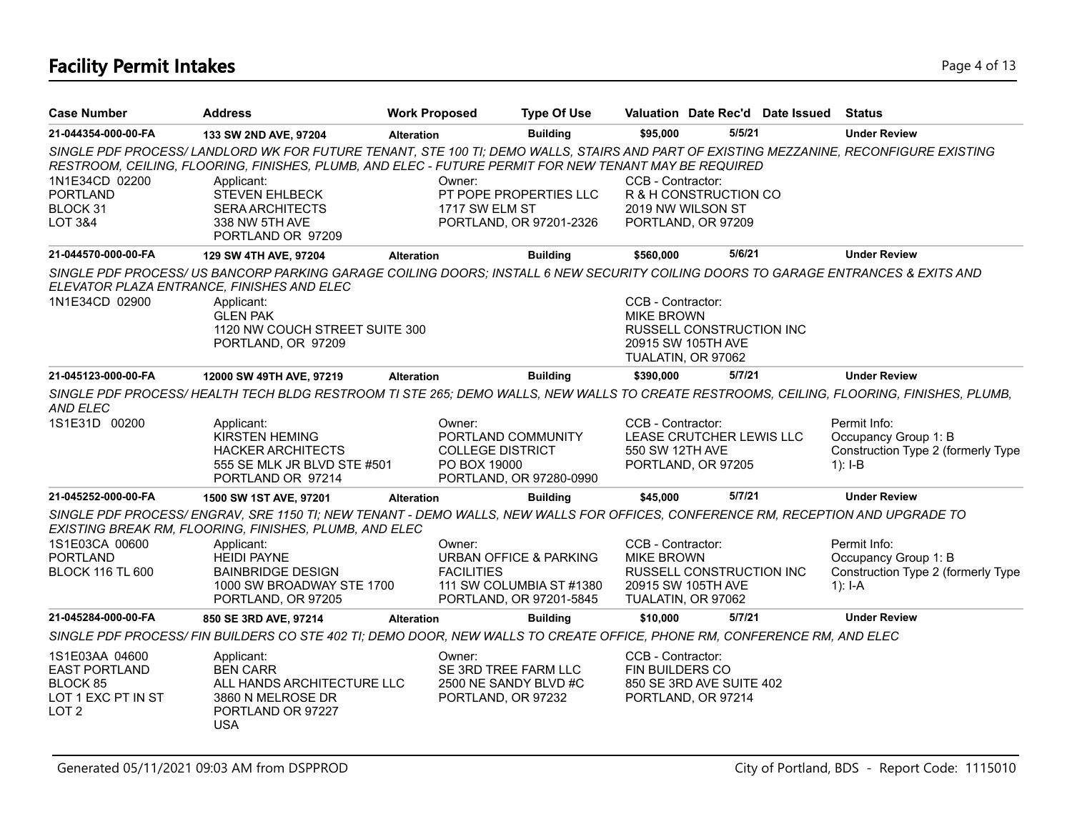# **Facility Permit Intakes** Page 4 of 13

| <b>Case Number</b>                                                                           | <b>Address</b>                                                                                                                                                                                                                                  | <b>Work Proposed</b> |                                                                               | <b>Type Of Use</b>                                                                       |                                        |                                                                      | Valuation Date Rec'd Date Issued | <b>Status</b>                                                                           |
|----------------------------------------------------------------------------------------------|-------------------------------------------------------------------------------------------------------------------------------------------------------------------------------------------------------------------------------------------------|----------------------|-------------------------------------------------------------------------------|------------------------------------------------------------------------------------------|----------------------------------------|----------------------------------------------------------------------|----------------------------------|-----------------------------------------------------------------------------------------|
| 21-044354-000-00-FA                                                                          | 133 SW 2ND AVE, 97204                                                                                                                                                                                                                           | <b>Alteration</b>    |                                                                               | <b>Building</b>                                                                          | \$95,000                               | 5/5/21                                                               |                                  | <b>Under Review</b>                                                                     |
|                                                                                              | SINGLE PDF PROCESS/ LANDLORD WK FOR FUTURE TENANT, STE 100 TI; DEMO WALLS, STAIRS AND PART OF EXISTING MEZZANINE, RECONFIGURE EXISTING<br>RESTROOM, CEILING, FLOORING, FINISHES, PLUMB, AND ELEC - FUTURE PERMIT FOR NEW TENANT MAY BE REQUIRED |                      |                                                                               |                                                                                          |                                        |                                                                      |                                  |                                                                                         |
| 1N1E34CD 02200<br><b>PORTLAND</b><br>BLOCK 31<br>LOT 3&4                                     | Applicant:<br><b>STEVEN EHLBECK</b><br><b>SERA ARCHITECTS</b><br>338 NW 5TH AVE<br>PORTLAND OR 97209                                                                                                                                            |                      | Owner:<br>1717 SW ELM ST                                                      | PT POPE PROPERTIES LLC<br>PORTLAND, OR 97201-2326                                        | CCB - Contractor:                      | R & H CONSTRUCTION CO<br>2019 NW WILSON ST<br>PORTLAND, OR 97209     |                                  |                                                                                         |
| 21-044570-000-00-FA                                                                          | 129 SW 4TH AVE, 97204                                                                                                                                                                                                                           | <b>Alteration</b>    |                                                                               | <b>Building</b>                                                                          | \$560,000                              | 5/6/21                                                               |                                  | <b>Under Review</b>                                                                     |
|                                                                                              | SINGLE PDF PROCESS/US BANCORP PARKING GARAGE COILING DOORS; INSTALL 6 NEW SECURITY COILING DOORS TO GARAGE ENTRANCES & EXITS AND<br>ELEVATOR PLAZA ENTRANCE, FINISHES AND ELEC                                                                  |                      |                                                                               |                                                                                          |                                        |                                                                      |                                  |                                                                                         |
| 1N1E34CD 02900                                                                               | Applicant:<br><b>GLEN PAK</b><br>1120 NW COUCH STREET SUITE 300<br>PORTLAND, OR 97209                                                                                                                                                           |                      |                                                                               |                                                                                          | CCB - Contractor:<br><b>MIKE BROWN</b> | RUSSELL CONSTRUCTION INC<br>20915 SW 105TH AVE<br>TUALATIN, OR 97062 |                                  |                                                                                         |
| 21-045123-000-00-FA                                                                          | 12000 SW 49TH AVE, 97219                                                                                                                                                                                                                        | <b>Alteration</b>    |                                                                               | <b>Building</b>                                                                          | \$390.000                              | 5/7/21                                                               |                                  | <b>Under Review</b>                                                                     |
| AND ELEC                                                                                     | SINGLE PDF PROCESS/HEALTH TECH BLDG RESTROOM TI STE 265; DEMO WALLS, NEW WALLS TO CREATE RESTROOMS, CEILING, FLOORING, FINISHES, PLUMB,                                                                                                         |                      |                                                                               |                                                                                          |                                        |                                                                      |                                  |                                                                                         |
| 1S1E31D 00200                                                                                | Applicant:<br><b>KIRSTEN HEMING</b><br><b>HACKER ARCHITECTS</b><br>555 SE MLK JR BLVD STE #501<br>PORTLAND OR 97214                                                                                                                             |                      | Owner:<br>PORTLAND COMMUNITY<br><b>COLLEGE DISTRICT</b><br>PO BOX 19000       | PORTLAND, OR 97280-0990                                                                  | CCB - Contractor:<br>550 SW 12TH AVE   | LEASE CRUTCHER LEWIS LLC<br>PORTLAND, OR 97205                       |                                  | Permit Info:<br>Occupancy Group 1: B<br>Construction Type 2 (formerly Type<br>$1$ : I-B |
| 21-045252-000-00-FA                                                                          | 1500 SW 1ST AVE, 97201                                                                                                                                                                                                                          | <b>Alteration</b>    |                                                                               | <b>Building</b>                                                                          | \$45,000                               | 5/7/21                                                               |                                  | <b>Under Review</b>                                                                     |
|                                                                                              | SINGLE PDF PROCESS/ENGRAV, SRE 1150 TI; NEW TENANT - DEMO WALLS, NEW WALLS FOR OFFICES, CONFERENCE RM, RECEPTION AND UPGRADE TO<br>EXISTING BREAK RM, FLOORING, FINISHES, PLUMB, AND ELEC                                                       |                      |                                                                               |                                                                                          |                                        |                                                                      |                                  |                                                                                         |
| 1S1E03CA 00600<br><b>PORTLAND</b><br><b>BLOCK 116 TL 600</b>                                 | Applicant:<br><b>HEIDI PAYNE</b><br><b>BAINBRIDGE DESIGN</b><br>1000 SW BROADWAY STE 1700<br>PORTLAND, OR 97205                                                                                                                                 |                      | Owner:<br><b>FACILITIES</b>                                                   | <b>URBAN OFFICE &amp; PARKING</b><br>111 SW COLUMBIA ST #1380<br>PORTLAND, OR 97201-5845 | CCB - Contractor:<br><b>MIKE BROWN</b> | RUSSELL CONSTRUCTION INC<br>20915 SW 105TH AVE<br>TUALATIN, OR 97062 |                                  | Permit Info:<br>Occupancy Group 1: B<br>Construction Type 2 (formerly Type<br>$1$ : I-A |
| 21-045284-000-00-FA                                                                          | 850 SE 3RD AVE, 97214                                                                                                                                                                                                                           | <b>Alteration</b>    |                                                                               | <b>Building</b>                                                                          | \$10,000                               | 5/7/21                                                               |                                  | <b>Under Review</b>                                                                     |
|                                                                                              | SINGLE PDF PROCESS/ FIN BUILDERS CO STE 402 TI; DEMO DOOR, NEW WALLS TO CREATE OFFICE, PHONE RM, CONFERENCE RM, AND ELEC                                                                                                                        |                      |                                                                               |                                                                                          |                                        |                                                                      |                                  |                                                                                         |
| 1S1E03AA 04600<br><b>EAST PORTLAND</b><br>BLOCK 85<br>LOT 1 EXC PT IN ST<br>LOT <sub>2</sub> | Applicant:<br><b>BEN CARR</b><br>ALL HANDS ARCHITECTURE LLC<br>3860 N MELROSE DR<br>PORTLAND OR 97227<br><b>USA</b>                                                                                                                             |                      | Owner:<br>SE 3RD TREE FARM LLC<br>2500 NE SANDY BLVD #C<br>PORTLAND, OR 97232 |                                                                                          | CCB - Contractor:<br>FIN BUILDERS CO   | 850 SE 3RD AVE SUITE 402<br>PORTLAND, OR 97214                       |                                  |                                                                                         |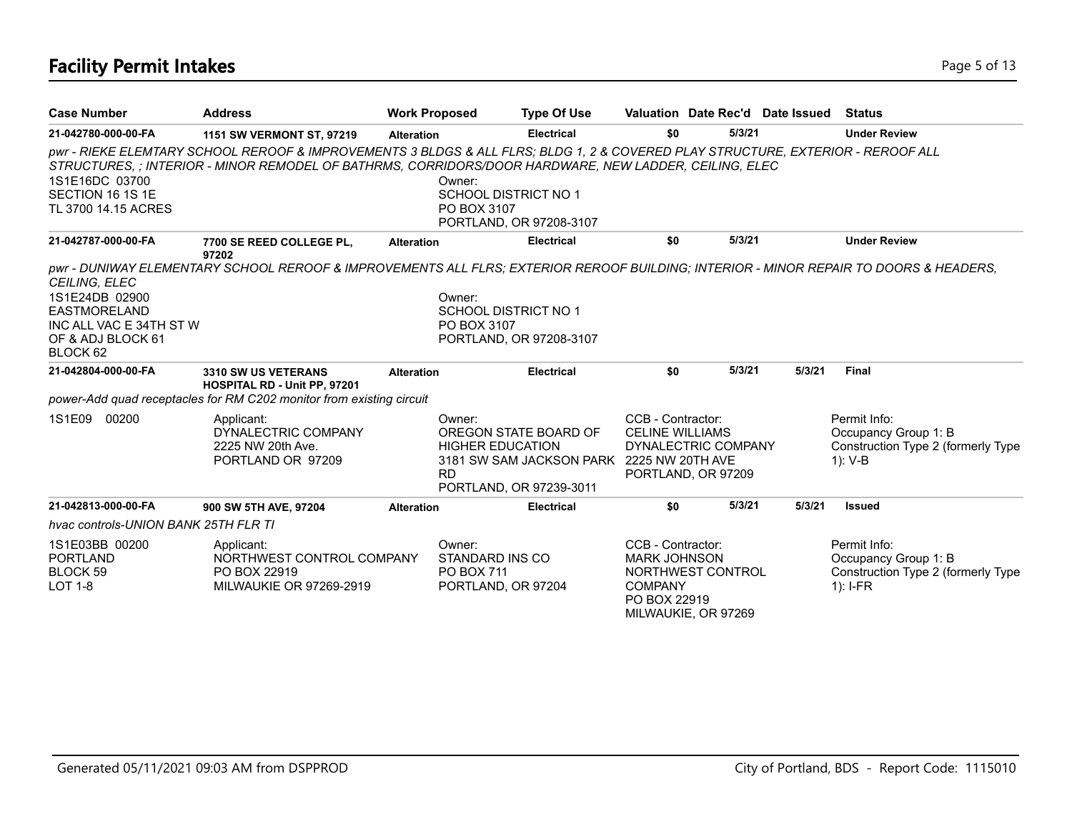# **Facility Permit Intakes** Page 5 of 13

| <b>Case Number</b>                                                                                                        | <b>Address</b>                                                                                                                                                                                                                           | <b>Work Proposed</b> |                                                                      | <b>Type Of Use</b>                                                                            | Valuation Date Rec'd Date Issued                                                                                       |        |        | <b>Status</b>                                                                            |
|---------------------------------------------------------------------------------------------------------------------------|------------------------------------------------------------------------------------------------------------------------------------------------------------------------------------------------------------------------------------------|----------------------|----------------------------------------------------------------------|-----------------------------------------------------------------------------------------------|------------------------------------------------------------------------------------------------------------------------|--------|--------|------------------------------------------------------------------------------------------|
| 21-042780-000-00-FA                                                                                                       | 1151 SW VERMONT ST, 97219                                                                                                                                                                                                                | <b>Alteration</b>    |                                                                      | Electrical                                                                                    | \$0                                                                                                                    | 5/3/21 |        | <b>Under Review</b>                                                                      |
| 1S1E16DC 03700<br>SECTION 16 1S 1E<br>TL 3700 14.15 ACRES                                                                 | pwr - RIEKE ELEMTARY SCHOOL REROOF & IMPROVEMENTS 3 BLDGS & ALL FLRS; BLDG 1, 2 & COVERED PLAY STRUCTURE, EXTERIOR - REROOF ALL<br>STRUCTURES, ; INTERIOR - MINOR REMODEL OF BATHRMS, CORRIDORS/DOOR HARDWARE, NEW LADDER, CEILING, ELEC |                      | Owner:<br>SCHOOL DISTRICT NO 1<br>PO BOX 3107                        | PORTLAND, OR 97208-3107                                                                       |                                                                                                                        |        |        |                                                                                          |
| 21-042787-000-00-FA                                                                                                       | 7700 SE REED COLLEGE PL,<br>97202                                                                                                                                                                                                        | <b>Alteration</b>    |                                                                      | <b>Electrical</b>                                                                             | \$0                                                                                                                    | 5/3/21 |        | <b>Under Review</b>                                                                      |
| <b>CEILING, ELEC</b><br>1S1E24DB 02900<br><b>EASTMORELAND</b><br>INC ALL VAC E 34TH ST W<br>OF & ADJ BLOCK 61<br>BLOCK 62 | pwr - DUNIWAY ELEMENTARY SCHOOL REROOF & IMPROVEMENTS ALL FLRS; EXTERIOR REROOF BUILDING; INTERIOR - MINOR REPAIR TO DOORS & HEADERS,                                                                                                    |                      | Owner:<br>SCHOOL DISTRICT NO 1<br>PO BOX 3107                        | PORTLAND, OR 97208-3107                                                                       |                                                                                                                        |        |        |                                                                                          |
| 21-042804-000-00-FA                                                                                                       | 3310 SW US VETERANS<br><b>HOSPITAL RD - Unit PP, 97201</b>                                                                                                                                                                               | <b>Alteration</b>    |                                                                      | <b>Electrical</b>                                                                             | \$0                                                                                                                    | 5/3/21 | 5/3/21 | Final                                                                                    |
|                                                                                                                           | power-Add quad receptacles for RM C202 monitor from existing circuit                                                                                                                                                                     |                      |                                                                      |                                                                                               |                                                                                                                        |        |        |                                                                                          |
| 1S1E09<br>00200                                                                                                           | Applicant:<br>DYNALECTRIC COMPANY<br>2225 NW 20th Ave.<br>PORTLAND OR 97209                                                                                                                                                              |                      | Owner:<br><b>HIGHER EDUCATION</b><br><b>RD</b>                       | OREGON STATE BOARD OF<br>3181 SW SAM JACKSON PARK 2225 NW 20TH AVE<br>PORTLAND, OR 97239-3011 | CCB - Contractor:<br><b>CELINE WILLIAMS</b><br>DYNALECTRIC COMPANY<br>PORTLAND, OR 97209                               |        |        | Permit Info:<br>Occupancy Group 1: B<br>Construction Type 2 (formerly Type<br>$1)$ : V-B |
| 21-042813-000-00-FA                                                                                                       | 900 SW 5TH AVE, 97204                                                                                                                                                                                                                    | <b>Alteration</b>    |                                                                      | <b>Electrical</b>                                                                             | \$0                                                                                                                    | 5/3/21 | 5/3/21 | <b>Issued</b>                                                                            |
| hvac controls-UNION BANK 25TH FLR TI                                                                                      |                                                                                                                                                                                                                                          |                      |                                                                      |                                                                                               |                                                                                                                        |        |        |                                                                                          |
| 1S1E03BB 00200<br><b>PORTLAND</b><br>BLOCK 59<br><b>LOT 1-8</b>                                                           | Applicant:<br>NORTHWEST CONTROL COMPANY<br>PO BOX 22919<br><b>MILWAUKIE OR 97269-2919</b>                                                                                                                                                |                      | Owner:<br>STANDARD INS CO<br><b>PO BOX 711</b><br>PORTLAND, OR 97204 |                                                                                               | CCB - Contractor:<br><b>MARK JOHNSON</b><br>NORTHWEST CONTROL<br><b>COMPANY</b><br>PO BOX 22919<br>MILWAUKIE, OR 97269 |        |        | Permit Info:<br>Occupancy Group 1: B<br>Construction Type 2 (formerly Type<br>$1$ : I-FR |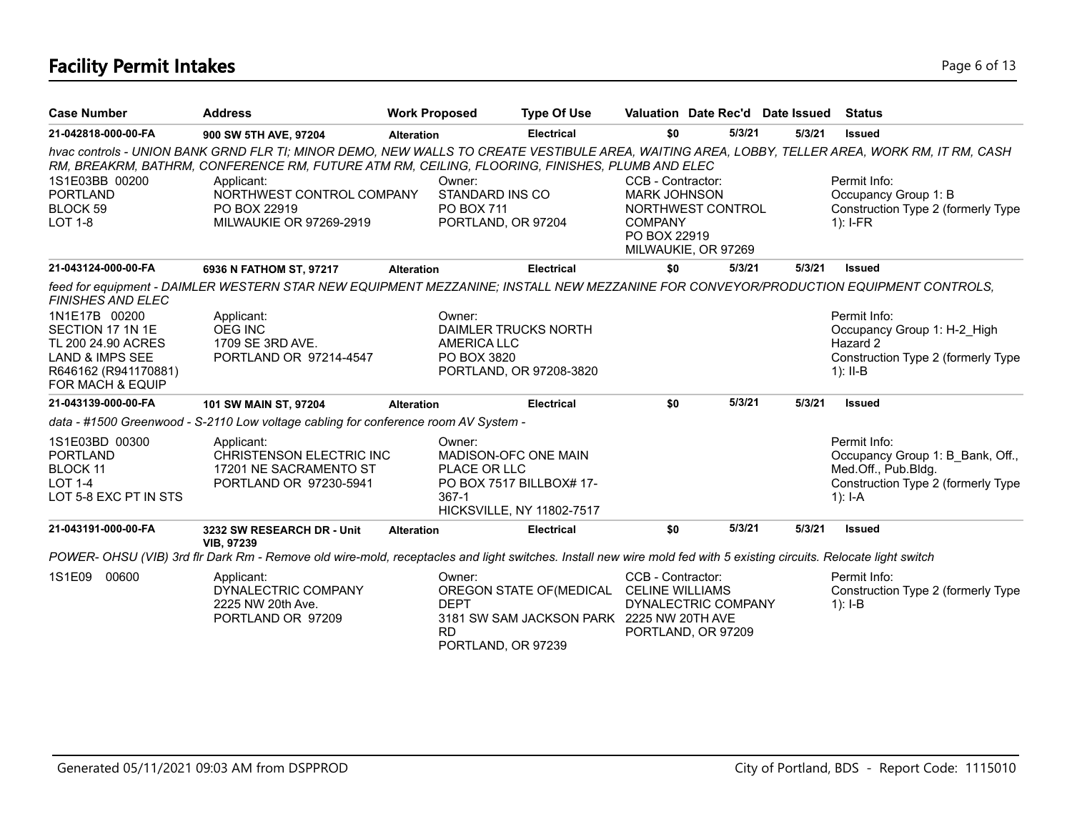# **Facility Permit Intakes** Page 6 of 13

| <b>Case Number</b>                                                                                                                                     | <b>Address</b>                                                                                                                                                                                                                                                                                                                                | <b>Work Proposed</b>                           | <b>Type Of Use</b>                                                                          |                                                                            |                                           | Valuation Date Rec'd Date Issued | Status                                                                                                                     |
|--------------------------------------------------------------------------------------------------------------------------------------------------------|-----------------------------------------------------------------------------------------------------------------------------------------------------------------------------------------------------------------------------------------------------------------------------------------------------------------------------------------------|------------------------------------------------|---------------------------------------------------------------------------------------------|----------------------------------------------------------------------------|-------------------------------------------|----------------------------------|----------------------------------------------------------------------------------------------------------------------------|
| 21-042818-000-00-FA                                                                                                                                    | 900 SW 5TH AVE, 97204                                                                                                                                                                                                                                                                                                                         | <b>Alteration</b>                              | <b>Electrical</b>                                                                           | \$0                                                                        | 5/3/21                                    | 5/3/21                           | <b>Issued</b>                                                                                                              |
| 1S1E03BB 00200<br><b>PORTLAND</b><br><b>BLOCK 59</b><br><b>LOT 1-8</b>                                                                                 | hvac controls - UNION BANK GRND FLR TI; MINOR DEMO, NEW WALLS TO CREATE VESTIBULE AREA, WAITING AREA, LOBBY, TELLER AREA, WORK RM, IT RM, CASH<br>RM, BREAKRM, BATHRM, CONFERENCE RM, FUTURE ATM RM, CEILING, FLOORING, FINISHES, PLUMB AND ELEC<br>Applicant:<br>NORTHWEST CONTROL COMPANY<br>PO BOX 22919<br><b>MILWAUKIE OR 97269-2919</b> | Owner:<br>STANDARD INS CO<br><b>PO BOX 711</b> | PORTLAND, OR 97204                                                                          | CCB - Contractor:<br><b>MARK JOHNSON</b><br><b>COMPANY</b><br>PO BOX 22919 | NORTHWEST CONTROL<br>MILWAUKIE, OR 97269  |                                  | Permit Info:<br>Occupancy Group 1: B<br>Construction Type 2 (formerly Type<br>$1$ : I-FR                                   |
| 21-043124-000-00-FA                                                                                                                                    | 6936 N FATHOM ST, 97217                                                                                                                                                                                                                                                                                                                       | <b>Alteration</b>                              | <b>Electrical</b>                                                                           | \$0                                                                        | 5/3/21                                    | 5/3/21                           | <b>Issued</b>                                                                                                              |
| FINISHES AND ELEC<br>1N1E17B 00200<br>SECTION 17 1N 1E<br>TL 200 24.90 ACRES<br><b>LAND &amp; IMPS SEE</b><br>R646162 (R941170881)<br>FOR MACH & EQUIP | feed for equipment - DAIMLER WESTERN STAR NEW EQUIPMENT MEZZANINE; INSTALL NEW MEZZANINE FOR CONVEYOR/PRODUCTION EQUIPMENT CONTROLS,<br>Applicant:<br><b>OEG INC</b><br>1709 SE 3RD AVE.<br>PORTLAND OR 97214-4547                                                                                                                            | Owner:<br>AMERICA LLC<br>PO BOX 3820           | DAIMLER TRUCKS NORTH<br>PORTLAND, OR 97208-3820                                             |                                                                            |                                           |                                  | Permit Info:<br>Occupancy Group 1: H-2 High<br>Hazard 2<br>Construction Type 2 (formerly Type<br>1): $II-B$                |
| 21-043139-000-00-FA                                                                                                                                    | 101 SW MAIN ST, 97204                                                                                                                                                                                                                                                                                                                         | <b>Alteration</b>                              | <b>Electrical</b>                                                                           | \$0                                                                        | 5/3/21                                    | 5/3/21                           | <b>Issued</b>                                                                                                              |
|                                                                                                                                                        | data - #1500 Greenwood - S-2110 Low voltage cabling for conference room AV System -                                                                                                                                                                                                                                                           |                                                |                                                                                             |                                                                            |                                           |                                  |                                                                                                                            |
| 1S1E03BD 00300<br><b>PORTLAND</b><br>BLOCK 11<br><b>LOT 1-4</b><br>LOT 5-8 EXC PT IN STS                                                               | Applicant:<br>CHRISTENSON ELECTRIC INC<br>17201 NE SACRAMENTO ST<br>PORTLAND OR 97230-5941                                                                                                                                                                                                                                                    | Owner:<br>PLACE OR LLC<br>$367-1$              | <b>MADISON-OFC ONE MAIN</b><br>PO BOX 7517 BILLBOX# 17-<br><b>HICKSVILLE, NY 11802-7517</b> |                                                                            |                                           |                                  | Permit Info:<br>Occupancy Group 1: B Bank, Off.,<br>Med.Off., Pub.Bldg.<br>Construction Type 2 (formerly Type<br>$1$ : I-A |
| 21-043191-000-00-FA                                                                                                                                    | 3232 SW RESEARCH DR - Unit<br><b>VIB, 97239</b>                                                                                                                                                                                                                                                                                               | <b>Alteration</b>                              | <b>Electrical</b>                                                                           | \$0                                                                        | 5/3/21                                    | 5/3/21                           | <b>Issued</b>                                                                                                              |
|                                                                                                                                                        | POWER- OHSU (VIB) 3rd fir Dark Rm - Remove old wire-mold, receptacles and light switches. Install new wire mold fed with 5 existing circuits. Relocate light switch                                                                                                                                                                           |                                                |                                                                                             |                                                                            |                                           |                                  |                                                                                                                            |
| 1S1E09<br>00600                                                                                                                                        | Applicant:<br>DYNALECTRIC COMPANY<br>2225 NW 20th Ave.<br>PORTLAND OR 97209                                                                                                                                                                                                                                                                   | Owner:<br><b>DEPT</b><br><b>RD</b>             | OREGON STATE OF (MEDICAL<br>3181 SW SAM JACKSON PARK 2225 NW 20TH AVE<br>PORTLAND, OR 97239 | CCB - Contractor:<br><b>CELINE WILLIAMS</b>                                | DYNALECTRIC COMPANY<br>PORTLAND, OR 97209 |                                  | Permit Info:<br>Construction Type 2 (formerly Type<br>1): $I-B$                                                            |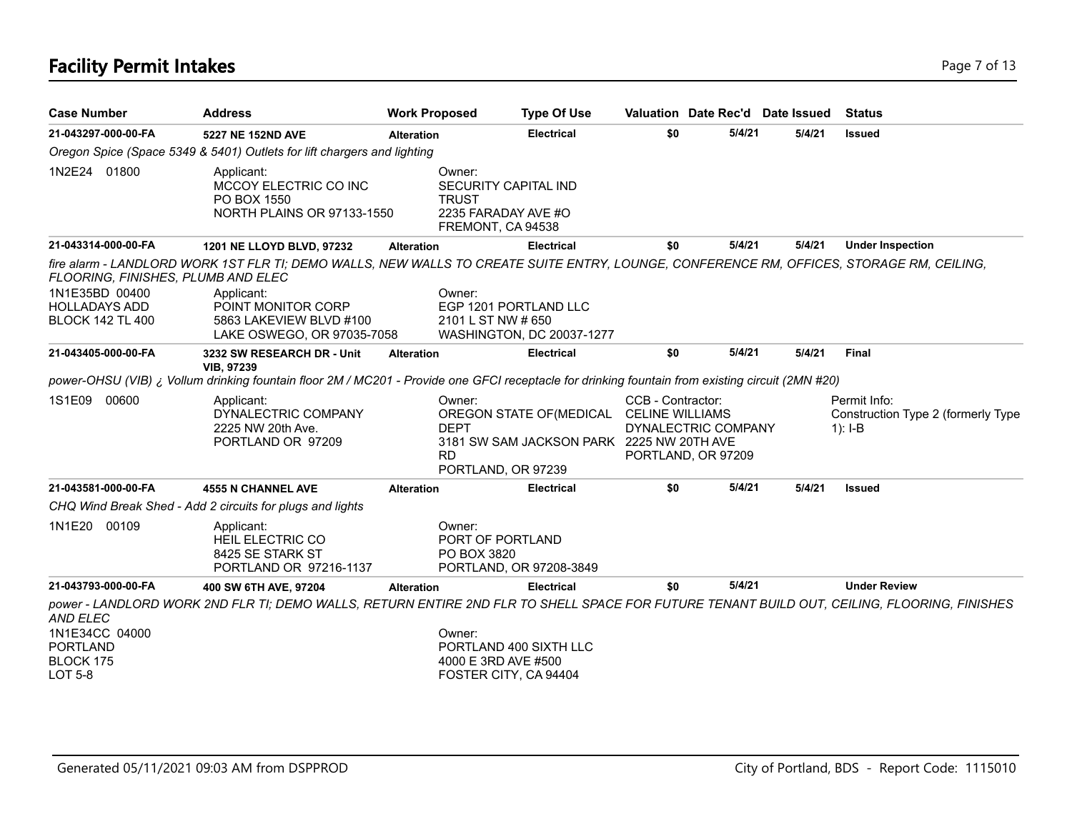# **Facility Permit Intakes** Page 7 of 13

| <b>Case Number</b>                                                                                      | <b>Address</b>                                                                                                                                                                                                                        | <b>Work Proposed</b> |                                                                                            | <b>Type Of Use</b>                                                                    |                   | Valuation Date Rec'd Date Issued          |        | <b>Status</b>                                                   |
|---------------------------------------------------------------------------------------------------------|---------------------------------------------------------------------------------------------------------------------------------------------------------------------------------------------------------------------------------------|----------------------|--------------------------------------------------------------------------------------------|---------------------------------------------------------------------------------------|-------------------|-------------------------------------------|--------|-----------------------------------------------------------------|
| 21-043297-000-00-FA                                                                                     | 5227 NE 152ND AVE                                                                                                                                                                                                                     | <b>Alteration</b>    |                                                                                            | <b>Electrical</b>                                                                     | \$0               | 5/4/21                                    | 5/4/21 | Issued                                                          |
|                                                                                                         | Oregon Spice (Space 5349 & 5401) Outlets for lift chargers and lighting                                                                                                                                                               |                      |                                                                                            |                                                                                       |                   |                                           |        |                                                                 |
| 1N2E24 01800                                                                                            | Applicant:<br>MCCOY ELECTRIC CO INC<br>PO BOX 1550<br>NORTH PLAINS OR 97133-1550                                                                                                                                                      |                      | Owner:<br>SECURITY CAPITAL IND<br><b>TRUST</b><br>2235 FARADAY AVE #O<br>FREMONT, CA 94538 |                                                                                       |                   |                                           |        |                                                                 |
| 21-043314-000-00-FA                                                                                     | 1201 NE LLOYD BLVD, 97232                                                                                                                                                                                                             | <b>Alteration</b>    |                                                                                            | <b>Electrical</b>                                                                     | \$0               | 5/4/21                                    | 5/4/21 | <b>Under Inspection</b>                                         |
| FLOORING, FINISHES, PLUMB AND ELEC<br>1N1E35BD 00400<br><b>HOLLADAYS ADD</b><br><b>BLOCK 142 TL 400</b> | fire alarm - LANDLORD WORK 1ST FLR TI; DEMO WALLS, NEW WALLS TO CREATE SUITE ENTRY, LOUNGE, CONFERENCE RM, OFFICES, STORAGE RM, CEILING,<br>Applicant:<br>POINT MONITOR CORP<br>5863 LAKEVIEW BLVD #100<br>LAKE OSWEGO, OR 97035-7058 |                      | Owner:<br>EGP 1201 PORTLAND LLC<br>2101 L ST NW # 650                                      | WASHINGTON, DC 20037-1277                                                             |                   |                                           |        |                                                                 |
| 21-043405-000-00-FA                                                                                     | 3232 SW RESEARCH DR - Unit                                                                                                                                                                                                            | <b>Alteration</b>    |                                                                                            | <b>Electrical</b>                                                                     | \$0               | 5/4/21                                    | 5/4/21 | <b>Final</b>                                                    |
|                                                                                                         | <b>VIB, 97239</b><br>power-OHSU (VIB) ¿ Vollum drinking fountain floor 2M / MC201 - Provide one GFCI receptacle for drinking fountain from existing circuit (2MN #20)                                                                 |                      |                                                                                            |                                                                                       |                   |                                           |        |                                                                 |
| 1S1E09<br>00600                                                                                         | Applicant:<br>DYNALECTRIC COMPANY<br>2225 NW 20th Ave.<br>PORTLAND OR 97209                                                                                                                                                           |                      | Owner:<br><b>DEPT</b><br><b>RD</b><br>PORTLAND, OR 97239                                   | OREGON STATE OF (MEDICAL CELINE WILLIAMS<br>3181 SW SAM JACKSON PARK 2225 NW 20TH AVE | CCB - Contractor: | DYNALECTRIC COMPANY<br>PORTLAND, OR 97209 |        | Permit Info:<br>Construction Type 2 (formerly Type<br>$1$ : I-B |
| 21-043581-000-00-FA                                                                                     | <b>4555 N CHANNEL AVE</b>                                                                                                                                                                                                             | <b>Alteration</b>    |                                                                                            | <b>Electrical</b>                                                                     | \$0               | 5/4/21                                    | 5/4/21 | <b>Issued</b>                                                   |
|                                                                                                         | CHQ Wind Break Shed - Add 2 circuits for plugs and lights                                                                                                                                                                             |                      |                                                                                            |                                                                                       |                   |                                           |        |                                                                 |
| 1N1E20 00109                                                                                            | Applicant:<br><b>HEIL ELECTRIC CO</b><br>8425 SE STARK ST<br>PORTLAND OR 97216-1137                                                                                                                                                   |                      | Owner:<br>PORT OF PORTLAND<br>PO BOX 3820                                                  | PORTLAND, OR 97208-3849                                                               |                   |                                           |        |                                                                 |
| 21-043793-000-00-FA                                                                                     | 400 SW 6TH AVE, 97204                                                                                                                                                                                                                 | <b>Alteration</b>    |                                                                                            | <b>Electrical</b>                                                                     | \$0               | 5/4/21                                    |        | <b>Under Review</b>                                             |
| AND ELEC<br>1N1E34CC 04000<br><b>PORTLAND</b><br>BLOCK 175<br><b>LOT 5-8</b>                            | power - LANDLORD WORK 2ND FLR TI; DEMO WALLS, RETURN ENTIRE 2ND FLR TO SHELL SPACE FOR FUTURE TENANT BUILD OUT, CEILING, FLOORING, FINISHES                                                                                           |                      | Owner:<br>PORTLAND 400 SIXTH LLC<br>4000 E 3RD AVE #500<br>FOSTER CITY, CA 94404           |                                                                                       |                   |                                           |        |                                                                 |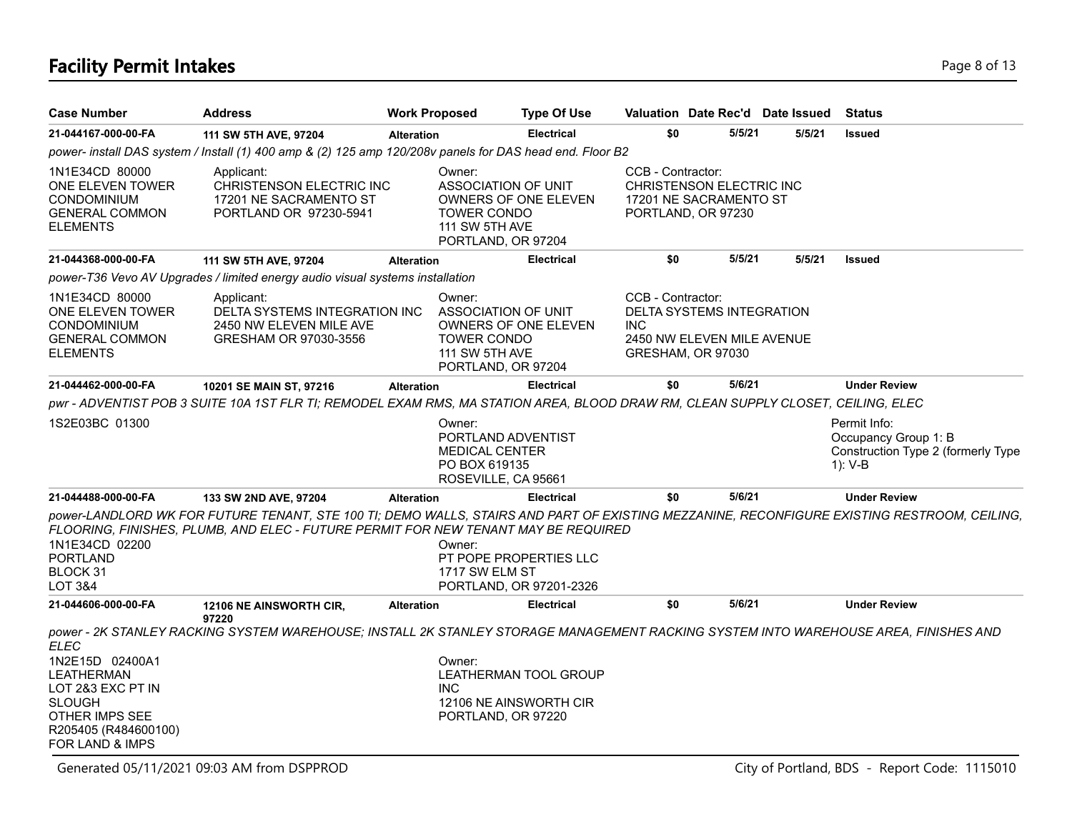# **Facility Permit Intakes** Page 8 of 13

| <b>Case Number</b>                                                                                                               | <b>Address</b>                                                                                                                                                                                                                    | <b>Work Proposed</b> |                                                                                                    | <b>Type Of Use</b>                                |                                 | Valuation Date Rec'd Date Issued                                             |        | <b>Status</b>                                                                         |
|----------------------------------------------------------------------------------------------------------------------------------|-----------------------------------------------------------------------------------------------------------------------------------------------------------------------------------------------------------------------------------|----------------------|----------------------------------------------------------------------------------------------------|---------------------------------------------------|---------------------------------|------------------------------------------------------------------------------|--------|---------------------------------------------------------------------------------------|
| 21-044167-000-00-FA                                                                                                              | 111 SW 5TH AVE, 97204                                                                                                                                                                                                             | <b>Alteration</b>    |                                                                                                    | <b>Electrical</b>                                 | \$0                             | 5/5/21                                                                       | 5/5/21 | <b>Issued</b>                                                                         |
|                                                                                                                                  | power- install DAS system / Install (1) 400 amp & (2) 125 amp 120/208v panels for DAS head end. Floor B2                                                                                                                          |                      |                                                                                                    |                                                   |                                 |                                                                              |        |                                                                                       |
| 1N1E34CD 80000<br>ONE ELEVEN TOWER<br><b>CONDOMINIUM</b><br><b>GENERAL COMMON</b><br><b>ELEMENTS</b>                             | Applicant:<br>CHRISTENSON ELECTRIC INC<br>17201 NE SACRAMENTO ST<br>PORTLAND OR 97230-5941                                                                                                                                        |                      | Owner:<br><b>ASSOCIATION OF UNIT</b><br><b>TOWER CONDO</b><br>111 SW 5TH AVE<br>PORTLAND, OR 97204 | OWNERS OF ONE ELEVEN                              | CCB - Contractor:               | CHRISTENSON ELECTRIC INC<br>17201 NE SACRAMENTO ST<br>PORTLAND, OR 97230     |        |                                                                                       |
| 21-044368-000-00-FA                                                                                                              | 111 SW 5TH AVE, 97204                                                                                                                                                                                                             | <b>Alteration</b>    |                                                                                                    | <b>Electrical</b>                                 | \$0                             | 5/5/21                                                                       | 5/5/21 | <b>Issued</b>                                                                         |
|                                                                                                                                  | power-T36 Vevo AV Upgrades / limited energy audio visual systems installation                                                                                                                                                     |                      |                                                                                                    |                                                   |                                 |                                                                              |        |                                                                                       |
| 1N1E34CD 80000<br>ONE ELEVEN TOWER<br><b>CONDOMINIUM</b><br><b>GENERAL COMMON</b><br><b>ELEMENTS</b>                             | Applicant:<br>DELTA SYSTEMS INTEGRATION INC<br>2450 NW ELEVEN MILE AVE<br>GRESHAM OR 97030-3556                                                                                                                                   |                      | Owner:<br><b>ASSOCIATION OF UNIT</b><br><b>TOWER CONDO</b><br>111 SW 5TH AVE<br>PORTLAND, OR 97204 | OWNERS OF ONE ELEVEN                              | CCB - Contractor:<br><b>INC</b> | DELTA SYSTEMS INTEGRATION<br>2450 NW ELEVEN MILE AVENUE<br>GRESHAM, OR 97030 |        |                                                                                       |
| 21-044462-000-00-FA                                                                                                              | 10201 SE MAIN ST, 97216                                                                                                                                                                                                           | <b>Alteration</b>    |                                                                                                    | <b>Electrical</b>                                 | \$0                             | 5/6/21                                                                       |        | <b>Under Review</b>                                                                   |
|                                                                                                                                  | pwr - ADVENTIST POB 3 SUITE 10A 1ST FLR TI; REMODEL EXAM RMS, MA STATION AREA, BLOOD DRAW RM, CLEAN SUPPLY CLOSET, CEILING, ELEC                                                                                                  |                      |                                                                                                    |                                                   |                                 |                                                                              |        |                                                                                       |
| 1S2E03BC 01300                                                                                                                   |                                                                                                                                                                                                                                   |                      | Owner:<br>PORTLAND ADVENTIST<br><b>MEDICAL CENTER</b><br>PO BOX 619135<br>ROSEVILLE, CA 95661      |                                                   |                                 |                                                                              |        | Permit Info:<br>Occupancy Group 1: B<br>Construction Type 2 (formerly Type<br>1): V-B |
| 21-044488-000-00-FA                                                                                                              | 133 SW 2ND AVE, 97204                                                                                                                                                                                                             | <b>Alteration</b>    |                                                                                                    | <b>Electrical</b>                                 | \$0                             | 5/6/21                                                                       |        | <b>Under Review</b>                                                                   |
| 1N1E34CD 02200<br>PORTLAND<br>BLOCK 31<br><b>LOT 3&amp;4</b>                                                                     | power-LANDLORD WK FOR FUTURE TENANT, STE 100 TI; DEMO WALLS, STAIRS AND PART OF EXISTING MEZZANINE, RECONFIGURE EXISTING RESTROOM, CEILING,<br>FLOORING, FINISHES, PLUMB, AND ELEC - FUTURE PERMIT FOR NEW TENANT MAY BE REQUIRED |                      | Owner:<br>1717 SW ELM ST                                                                           | PT POPE PROPERTIES LLC<br>PORTLAND, OR 97201-2326 |                                 |                                                                              |        |                                                                                       |
| 21-044606-000-00-FA                                                                                                              | 12106 NE AINSWORTH CIR,                                                                                                                                                                                                           | <b>Alteration</b>    |                                                                                                    | <b>Electrical</b>                                 | \$0                             | 5/6/21                                                                       |        | <b>Under Review</b>                                                                   |
| ELEC                                                                                                                             | 97220<br>power - 2K STANLEY RACKING SYSTEM WAREHOUSE; INSTALL 2K STANLEY STORAGE MANAGEMENT RACKING SYSTEM INTO WAREHOUSE AREA, FINISHES AND                                                                                      |                      |                                                                                                    |                                                   |                                 |                                                                              |        |                                                                                       |
| 1N2E15D 02400A1<br>LEATHERMAN<br>LOT 2&3 EXC PT IN<br><b>SLOUGH</b><br>OTHER IMPS SEE<br>R205405 (R484600100)<br>FOR LAND & IMPS |                                                                                                                                                                                                                                   |                      | Owner:<br><b>INC</b><br>PORTLAND, OR 97220                                                         | LEATHERMAN TOOL GROUP<br>12106 NE AINSWORTH CIR   |                                 |                                                                              |        |                                                                                       |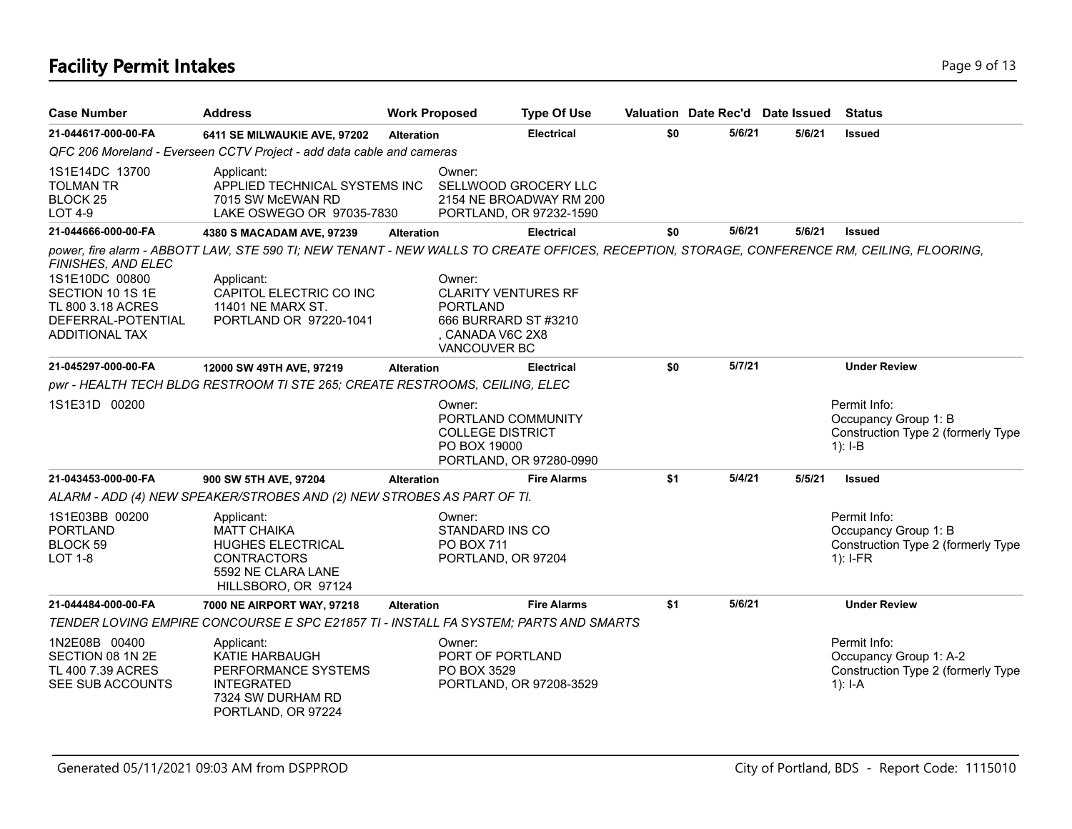# **Facility Permit Intakes** Page 9 of 13

| <b>Case Number</b>                                                                                                    | <b>Address</b>                                                                                                                                                                                                                      |                   | <b>Work Proposed</b>                                                                                                       | <b>Type Of Use</b>                                                         |     |        | Valuation Date Rec'd Date Issued | <b>Status</b>                                                                             |
|-----------------------------------------------------------------------------------------------------------------------|-------------------------------------------------------------------------------------------------------------------------------------------------------------------------------------------------------------------------------------|-------------------|----------------------------------------------------------------------------------------------------------------------------|----------------------------------------------------------------------------|-----|--------|----------------------------------|-------------------------------------------------------------------------------------------|
| 21-044617-000-00-FA                                                                                                   | 6411 SE MILWAUKIE AVE, 97202                                                                                                                                                                                                        | <b>Alteration</b> |                                                                                                                            | <b>Electrical</b>                                                          | \$0 | 5/6/21 | 5/6/21                           | <b>Issued</b>                                                                             |
|                                                                                                                       | QFC 206 Moreland - Everseen CCTV Project - add data cable and cameras                                                                                                                                                               |                   |                                                                                                                            |                                                                            |     |        |                                  |                                                                                           |
| 1S1E14DC 13700<br><b>TOLMAN TR</b><br>BLOCK <sub>25</sub><br><b>LOT 4-9</b>                                           | Applicant:<br>APPLIED TECHNICAL SYSTEMS INC<br>7015 SW McEWAN RD<br>LAKE OSWEGO OR 97035-7830                                                                                                                                       |                   | Owner:                                                                                                                     | SELLWOOD GROCERY LLC<br>2154 NE BROADWAY RM 200<br>PORTLAND, OR 97232-1590 |     |        |                                  |                                                                                           |
| 21-044666-000-00-FA                                                                                                   | 4380 S MACADAM AVE, 97239                                                                                                                                                                                                           | <b>Alteration</b> |                                                                                                                            | <b>Electrical</b>                                                          | \$0 | 5/6/21 | 5/6/21                           | <b>Issued</b>                                                                             |
| FINISHES, AND ELEC<br>1S1E10DC 00800<br>SECTION 10 1S 1E<br>TL 800 3.18 ACRES<br>DEFERRAL-POTENTIAL<br>ADDITIONAL TAX | power, fire alarm - ABBOTT LAW, STE 590 TI; NEW TENANT - NEW WALLS TO CREATE OFFICES, RECEPTION, STORAGE, CONFERENCE RM, CEILING, FLOORING,<br>Applicant:<br>CAPITOL ELECTRIC CO INC<br>11401 NE MARX ST.<br>PORTLAND OR 97220-1041 |                   | Owner:<br><b>CLARITY VENTURES RF</b><br><b>PORTLAND</b><br>666 BURRARD ST #3210<br>, CANADA V6C 2X8<br><b>VANCOUVER BC</b> |                                                                            |     |        |                                  |                                                                                           |
| 21-045297-000-00-FA                                                                                                   | 12000 SW 49TH AVE, 97219                                                                                                                                                                                                            | <b>Alteration</b> |                                                                                                                            | <b>Electrical</b>                                                          | \$0 | 5/7/21 |                                  | <b>Under Review</b>                                                                       |
|                                                                                                                       | pwr - HEALTH TECH BLDG RESTROOM TI STE 265; CREATE RESTROOMS, CEILING, ELEC                                                                                                                                                         |                   |                                                                                                                            |                                                                            |     |        |                                  |                                                                                           |
| 1S1E31D 00200                                                                                                         |                                                                                                                                                                                                                                     |                   | Owner:<br>PORTLAND COMMUNITY<br><b>COLLEGE DISTRICT</b><br>PO BOX 19000                                                    | PORTLAND, OR 97280-0990                                                    |     |        |                                  | Permit Info:<br>Occupancy Group 1: B<br>Construction Type 2 (formerly Type<br>$1$ : I-B   |
| 21-043453-000-00-FA                                                                                                   | 900 SW 5TH AVE, 97204                                                                                                                                                                                                               | <b>Alteration</b> |                                                                                                                            | <b>Fire Alarms</b>                                                         | \$1 | 5/4/21 | 5/5/21                           | <b>Issued</b>                                                                             |
|                                                                                                                       | ALARM - ADD (4) NEW SPEAKER/STROBES AND (2) NEW STROBES AS PART OF TI.                                                                                                                                                              |                   |                                                                                                                            |                                                                            |     |        |                                  |                                                                                           |
| 1S1E03BB 00200<br><b>PORTLAND</b><br>BLOCK 59<br><b>LOT 1-8</b>                                                       | Applicant:<br><b>MATT CHAIKA</b><br>HUGHES ELECTRICAL<br><b>CONTRACTORS</b><br>5592 NE CLARA LANE<br>HILLSBORO, OR 97124                                                                                                            |                   | Owner:<br>STANDARD INS CO<br>PO BOX 711<br>PORTLAND, OR 97204                                                              |                                                                            |     |        |                                  | Permit Info:<br>Occupancy Group 1: B<br>Construction Type 2 (formerly Type<br>$1$ : I-FR  |
| 21-044484-000-00-FA                                                                                                   | 7000 NE AIRPORT WAY, 97218                                                                                                                                                                                                          | <b>Alteration</b> |                                                                                                                            | <b>Fire Alarms</b>                                                         | \$1 | 5/6/21 |                                  | <b>Under Review</b>                                                                       |
|                                                                                                                       | TENDER LOVING EMPIRE CONCOURSE E SPC E21857 TI - INSTALL FA SYSTEM; PARTS AND SMARTS                                                                                                                                                |                   |                                                                                                                            |                                                                            |     |        |                                  |                                                                                           |
| 1N2E08B 00400<br>SECTION 08 1N 2E<br>TL 400 7.39 ACRES<br>SEE SUB ACCOUNTS                                            | Applicant:<br>KATIE HARBAUGH<br>PERFORMANCE SYSTEMS<br><b>INTEGRATED</b><br>7324 SW DURHAM RD<br>PORTLAND, OR 97224                                                                                                                 |                   | Owner:<br>PORT OF PORTLAND<br>PO BOX 3529                                                                                  | PORTLAND, OR 97208-3529                                                    |     |        |                                  | Permit Info:<br>Occupancy Group 1: A-2<br>Construction Type 2 (formerly Type<br>$1$ : I-A |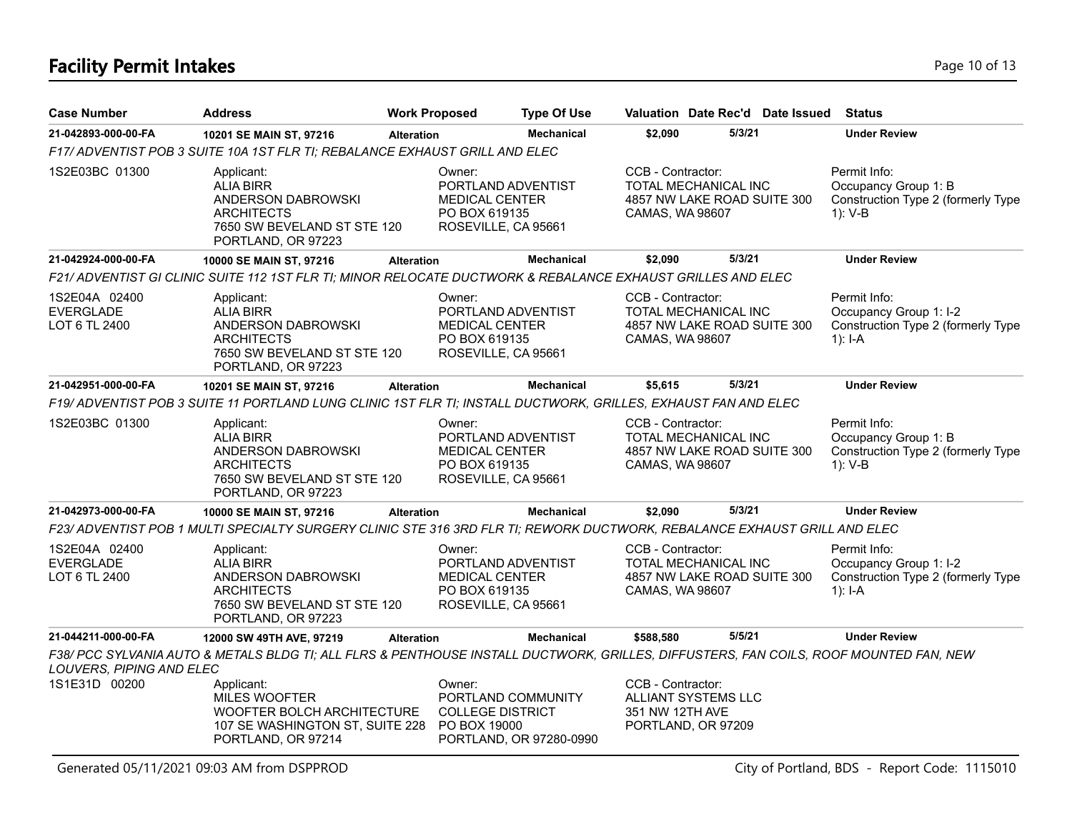# **Facility Permit Intakes** Page 10 of 13

| <b>Case Number</b>                                 | <b>Address</b>                                                                                                                        | <b>Work Proposed</b> |                                                                                               | <b>Type Of Use</b>      |                                                                                   | Valuation Date Rec'd Date Issued | <b>Status</b>                                                                               |
|----------------------------------------------------|---------------------------------------------------------------------------------------------------------------------------------------|----------------------|-----------------------------------------------------------------------------------------------|-------------------------|-----------------------------------------------------------------------------------|----------------------------------|---------------------------------------------------------------------------------------------|
| 21-042893-000-00-FA                                | 10201 SE MAIN ST, 97216                                                                                                               | <b>Alteration</b>    |                                                                                               | <b>Mechanical</b>       | \$2,090                                                                           | 5/3/21                           | <b>Under Review</b>                                                                         |
|                                                    | F17/ ADVENTIST POB 3 SUITE 10A 1ST FLR TI; REBALANCE EXHAUST GRILL AND ELEC                                                           |                      |                                                                                               |                         |                                                                                   |                                  |                                                                                             |
| 1S2E03BC 01300                                     | Applicant:<br><b>ALIA BIRR</b><br>ANDERSON DABROWSKI<br><b>ARCHITECTS</b><br>7650 SW BEVELAND ST STE 120<br>PORTLAND, OR 97223        |                      | Owner:<br>PORTLAND ADVENTIST<br><b>MEDICAL CENTER</b><br>PO BOX 619135<br>ROSEVILLE, CA 95661 |                         | CCB - Contractor:<br>TOTAL MECHANICAL INC<br>CAMAS, WA 98607                      | 4857 NW LAKE ROAD SUITE 300      | Permit Info:<br>Occupancy Group 1: B<br>Construction Type 2 (formerly Type<br>1): V-B       |
| 21-042924-000-00-FA                                | 10000 SE MAIN ST, 97216                                                                                                               | <b>Alteration</b>    |                                                                                               | <b>Mechanical</b>       | \$2,090                                                                           | 5/3/21                           | <b>Under Review</b>                                                                         |
|                                                    | F21/ ADVENTIST GI CLINIC SUITE 112 1ST FLR TI; MINOR RELOCATE DUCTWORK & REBALANCE EXHAUST GRILLES AND ELEC                           |                      |                                                                                               |                         |                                                                                   |                                  |                                                                                             |
| 1S2E04A 02400<br><b>EVERGLADE</b><br>LOT 6 TL 2400 | Applicant:<br><b>ALIA BIRR</b><br>ANDERSON DABROWSKI<br><b>ARCHITECTS</b><br>7650 SW BEVELAND ST STE 120<br>PORTLAND, OR 97223        |                      | Owner:<br>PORTLAND ADVENTIST<br><b>MEDICAL CENTER</b><br>PO BOX 619135<br>ROSEVILLE, CA 95661 |                         | CCB - Contractor:<br>TOTAL MECHANICAL INC<br>CAMAS, WA 98607                      | 4857 NW LAKE ROAD SUITE 300      | Permit Info:<br>Occupancy Group 1: I-2<br>Construction Type 2 (formerly Type<br>1): $I - A$ |
| 21-042951-000-00-FA                                | 10201 SE MAIN ST, 97216                                                                                                               | <b>Alteration</b>    |                                                                                               | <b>Mechanical</b>       | \$5,615                                                                           | 5/3/21                           | <b>Under Review</b>                                                                         |
|                                                    | F19/ ADVENTIST POB 3 SUITE 11 PORTLAND LUNG CLINIC 1ST FLR TI; INSTALL DUCTWORK, GRILLES, EXHAUST FAN AND ELEC                        |                      |                                                                                               |                         |                                                                                   |                                  |                                                                                             |
| 1S2E03BC 01300                                     | Applicant:<br><b>ALIA BIRR</b><br>ANDERSON DABROWSKI<br><b>ARCHITECTS</b><br>7650 SW BEVELAND ST STE 120<br>PORTLAND, OR 97223        |                      | Owner:<br>PORTLAND ADVENTIST<br>MEDICAL CENTER<br>PO BOX 619135<br>ROSEVILLE, CA 95661        |                         | CCB - Contractor:<br>TOTAL MECHANICAL INC<br>CAMAS, WA 98607                      | 4857 NW LAKE ROAD SUITE 300      | Permit Info:<br>Occupancy Group 1: B<br>Construction Type 2 (formerly Type<br>1): V-B       |
| 21-042973-000-00-FA                                | 10000 SE MAIN ST, 97216                                                                                                               | <b>Alteration</b>    |                                                                                               | <b>Mechanical</b>       | \$2,090                                                                           | 5/3/21                           | <b>Under Review</b>                                                                         |
|                                                    | F23/ ADVENTIST POB 1 MULTI SPECIALTY SURGERY CLINIC STE 316 3RD FLR TI; REWORK DUCTWORK, REBALANCE EXHAUST GRILL AND ELEC             |                      |                                                                                               |                         |                                                                                   |                                  |                                                                                             |
| 1S2E04A 02400<br><b>EVERGLADE</b><br>LOT 6 TL 2400 | Applicant:<br><b>ALIA BIRR</b><br>ANDERSON DABROWSKI<br><b>ARCHITECTS</b><br>7650 SW BEVELAND ST STE 120<br>PORTLAND, OR 97223        |                      | Owner:<br>PORTLAND ADVENTIST<br>MEDICAL CENTER<br>PO BOX 619135<br>ROSEVILLE, CA 95661        |                         | CCB - Contractor:<br>TOTAL MECHANICAL INC<br>CAMAS, WA 98607                      | 4857 NW LAKE ROAD SUITE 300      | Permit Info:<br>Occupancy Group 1: I-2<br>Construction Type 2 (formerly Type<br>$1$ : I-A   |
| 21-044211-000-00-FA                                | 12000 SW 49TH AVE, 97219                                                                                                              | <b>Alteration</b>    |                                                                                               | <b>Mechanical</b>       | \$588,580                                                                         | 5/5/21                           | <b>Under Review</b>                                                                         |
| LOUVERS, PIPING AND ELEC                           | F38/ PCC SYLVANIA AUTO & METALS BLDG TI; ALL FLRS & PENTHOUSE INSTALL DUCTWORK, GRILLES, DIFFUSTERS, FAN COILS, ROOF MOUNTED FAN, NEW |                      |                                                                                               |                         |                                                                                   |                                  |                                                                                             |
| 1S1E31D 00200                                      | Applicant:<br>MILES WOOFTER<br>WOOFTER BOLCH ARCHITECTURE<br>107 SE WASHINGTON ST, SUITE 228<br>PORTLAND, OR 97214                    |                      | Owner:<br>PORTLAND COMMUNITY<br><b>COLLEGE DISTRICT</b><br>PO BOX 19000                       | PORTLAND, OR 97280-0990 | CCB - Contractor:<br>ALLIANT SYSTEMS LLC<br>351 NW 12TH AVE<br>PORTLAND, OR 97209 |                                  |                                                                                             |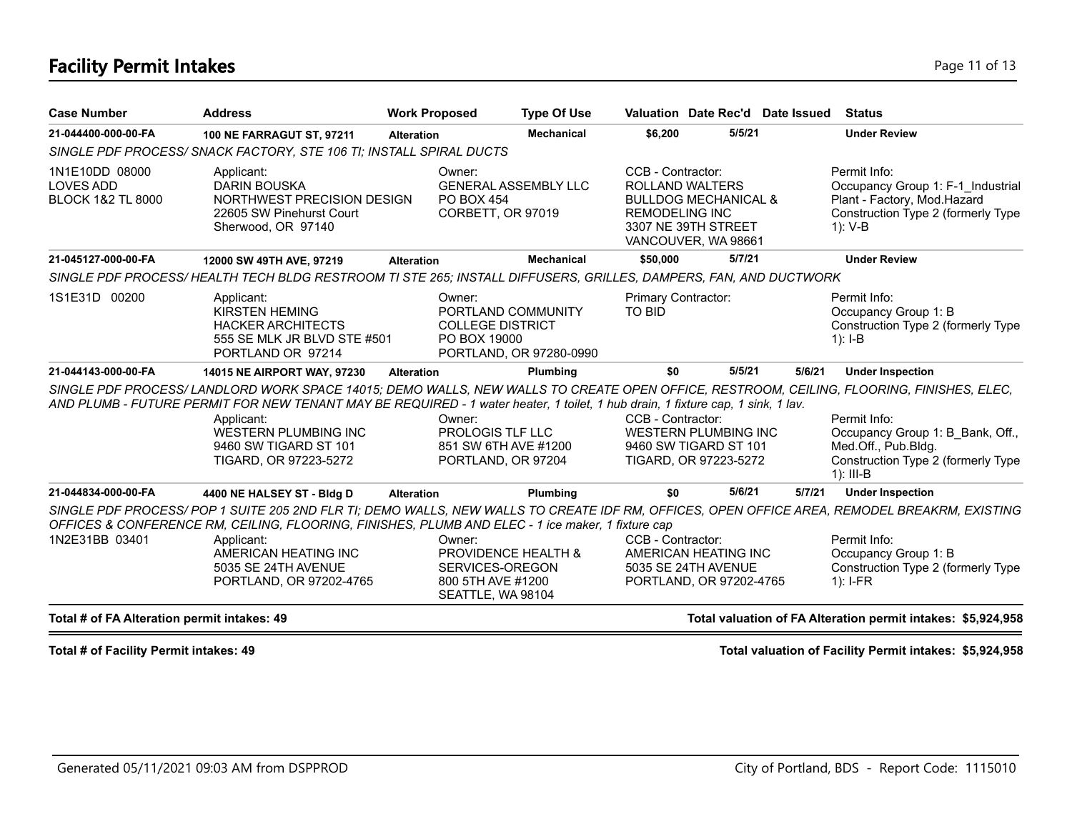## **Facility Permit Intakes** Page 11 of 13

| 5/5/21<br><b>Under Review</b><br>21-044400-000-00-FA<br><b>Mechanical</b><br>\$6,200<br><b>100 NE FARRAGUT ST, 97211</b><br><b>Alteration</b><br>SINGLE PDF PROCESS/ SNACK FACTORY, STE 106 TI; INSTALL SPIRAL DUCTS<br>CCB - Contractor:<br>Permit Info:<br>1N1E10DD 08000<br>Applicant:<br>Owner:<br><b>LOVES ADD</b><br><b>GENERAL ASSEMBLY LLC</b><br><b>DARIN BOUSKA</b><br>ROLLAND WALTERS<br>NORTHWEST PRECISION DESIGN<br><b>BLOCK 1&amp;2 TL 8000</b><br><b>PO BOX 454</b><br><b>BULLDOG MECHANICAL &amp;</b><br>Plant - Factory, Mod.Hazard<br>CORBETT, OR 97019<br>22605 SW Pinehurst Court<br><b>REMODELING INC</b><br>3307 NE 39TH STREET<br>Sherwood, OR 97140<br>1): V-B<br>VANCOUVER, WA 98661<br>5/7/21<br>21-045127-000-00-FA<br><b>Under Review</b><br><b>Mechanical</b><br>\$50,000<br>12000 SW 49TH AVE, 97219<br><b>Alteration</b><br>SINGLE PDF PROCESS/HEALTH TECH BLDG RESTROOM TI STE 265; INSTALL DIFFUSERS, GRILLES, DAMPERS, FAN, AND DUCTWORK<br>1S1E31D 00200<br>Primary Contractor:<br>Permit Info:<br>Applicant:<br>Owner:<br><b>KIRSTEN HEMING</b><br>PORTLAND COMMUNITY<br><b>TO BID</b><br>Occupancy Group 1: B<br><b>HACKER ARCHITECTS</b><br><b>COLLEGE DISTRICT</b><br>555 SE MLK JR BLVD STE #501<br>PO BOX 19000<br>$1$ : I-B<br>PORTLAND OR 97214<br>PORTLAND, OR 97280-0990<br>5/5/21<br>21-044143-000-00-FA<br>5/6/21<br><b>Under Inspection</b><br>Plumbing<br>\$0<br>14015 NE AIRPORT WAY, 97230<br><b>Alteration</b><br>SINGLE PDF PROCESS/LANDLORD WORK SPACE 14015; DEMO WALLS, NEW WALLS TO CREATE OPEN OFFICE, RESTROOM, CEILING, FLOORING, FINISHES, ELEC,<br>AND PLUMB - FUTURE PERMIT FOR NEW TENANT MAY BE REQUIRED - 1 water heater, 1 toilet, 1 hub drain, 1 fixture cap, 1 sink, 1 lav.<br>CCB - Contractor:<br>Permit Info:<br>Owner:<br>Applicant:<br><b>WESTERN PLUMBING INC</b><br>PROLOGIS TLF LLC<br><b>WESTERN PLUMBING INC</b><br>9460 SW TIGARD ST 101<br>851 SW 6TH AVE #1200<br>9460 SW TIGARD ST 101<br>Med.Off., Pub.Bldg.<br>TIGARD, OR 97223-5272<br>PORTLAND, OR 97204<br>TIGARD, OR 97223-5272<br>$1$ : III-B<br>5/6/21<br><b>Under Inspection</b><br>21-044834-000-00-FA<br>5/7/21<br>Plumbing<br>\$0<br>4400 NE HALSEY ST - Bldg D<br><b>Alteration</b><br>SINGLE PDF PROCESS/POP 1 SUITE 205 2ND FLR TI; DEMO WALLS, NEW WALLS TO CREATE IDF RM, OFFICES, OPEN OFFICE AREA, REMODEL BREAKRM, EXISTING<br>OFFICES & CONFERENCE RM, CEILING, FLOORING, FINISHES, PLUMB AND ELEC - 1 ice maker, 1 fixture cap<br>1N2E31BB 03401<br>CCB - Contractor:<br>Permit Info:<br>Applicant:<br>Owner:<br>AMERICAN HEATING INC<br>PROVIDENCE HEALTH &<br>AMERICAN HEATING INC<br>Occupancy Group 1: B<br>5035 SE 24TH AVENUE<br>SERVICES-OREGON<br>5035 SE 24TH AVENUE<br>800 5TH AVE #1200<br>PORTLAND, OR 97202-4765<br>PORTLAND, OR 97202-4765<br>$1$ : I-FR<br>SEATTLE, WA 98104 | <b>Case Number</b> | <b>Address</b> | <b>Work Proposed</b> | <b>Type Of Use</b> | Valuation Date Rec'd Date Issued | Status                                                                  |
|-------------------------------------------------------------------------------------------------------------------------------------------------------------------------------------------------------------------------------------------------------------------------------------------------------------------------------------------------------------------------------------------------------------------------------------------------------------------------------------------------------------------------------------------------------------------------------------------------------------------------------------------------------------------------------------------------------------------------------------------------------------------------------------------------------------------------------------------------------------------------------------------------------------------------------------------------------------------------------------------------------------------------------------------------------------------------------------------------------------------------------------------------------------------------------------------------------------------------------------------------------------------------------------------------------------------------------------------------------------------------------------------------------------------------------------------------------------------------------------------------------------------------------------------------------------------------------------------------------------------------------------------------------------------------------------------------------------------------------------------------------------------------------------------------------------------------------------------------------------------------------------------------------------------------------------------------------------------------------------------------------------------------------------------------------------------------------------------------------------------------------------------------------------------------------------------------------------------------------------------------------------------------------------------------------------------------------------------------------------------------------------------------------------------------------------------------------------------------------------------------------------------------------------------------------------------------------------------------------------------------------------------------------------------------------------------------------------------------------------------------------------------------------------------------------------------------------------------------------|--------------------|----------------|----------------------|--------------------|----------------------------------|-------------------------------------------------------------------------|
|                                                                                                                                                                                                                                                                                                                                                                                                                                                                                                                                                                                                                                                                                                                                                                                                                                                                                                                                                                                                                                                                                                                                                                                                                                                                                                                                                                                                                                                                                                                                                                                                                                                                                                                                                                                                                                                                                                                                                                                                                                                                                                                                                                                                                                                                                                                                                                                                                                                                                                                                                                                                                                                                                                                                                                                                                                                       |                    |                |                      |                    |                                  |                                                                         |
|                                                                                                                                                                                                                                                                                                                                                                                                                                                                                                                                                                                                                                                                                                                                                                                                                                                                                                                                                                                                                                                                                                                                                                                                                                                                                                                                                                                                                                                                                                                                                                                                                                                                                                                                                                                                                                                                                                                                                                                                                                                                                                                                                                                                                                                                                                                                                                                                                                                                                                                                                                                                                                                                                                                                                                                                                                                       |                    |                |                      |                    |                                  |                                                                         |
|                                                                                                                                                                                                                                                                                                                                                                                                                                                                                                                                                                                                                                                                                                                                                                                                                                                                                                                                                                                                                                                                                                                                                                                                                                                                                                                                                                                                                                                                                                                                                                                                                                                                                                                                                                                                                                                                                                                                                                                                                                                                                                                                                                                                                                                                                                                                                                                                                                                                                                                                                                                                                                                                                                                                                                                                                                                       |                    |                |                      |                    |                                  | Occupancy Group 1: F-1 Industrial<br>Construction Type 2 (formerly Type |
|                                                                                                                                                                                                                                                                                                                                                                                                                                                                                                                                                                                                                                                                                                                                                                                                                                                                                                                                                                                                                                                                                                                                                                                                                                                                                                                                                                                                                                                                                                                                                                                                                                                                                                                                                                                                                                                                                                                                                                                                                                                                                                                                                                                                                                                                                                                                                                                                                                                                                                                                                                                                                                                                                                                                                                                                                                                       |                    |                |                      |                    |                                  |                                                                         |
|                                                                                                                                                                                                                                                                                                                                                                                                                                                                                                                                                                                                                                                                                                                                                                                                                                                                                                                                                                                                                                                                                                                                                                                                                                                                                                                                                                                                                                                                                                                                                                                                                                                                                                                                                                                                                                                                                                                                                                                                                                                                                                                                                                                                                                                                                                                                                                                                                                                                                                                                                                                                                                                                                                                                                                                                                                                       |                    |                |                      |                    |                                  |                                                                         |
|                                                                                                                                                                                                                                                                                                                                                                                                                                                                                                                                                                                                                                                                                                                                                                                                                                                                                                                                                                                                                                                                                                                                                                                                                                                                                                                                                                                                                                                                                                                                                                                                                                                                                                                                                                                                                                                                                                                                                                                                                                                                                                                                                                                                                                                                                                                                                                                                                                                                                                                                                                                                                                                                                                                                                                                                                                                       |                    |                |                      |                    |                                  | Construction Type 2 (formerly Type                                      |
|                                                                                                                                                                                                                                                                                                                                                                                                                                                                                                                                                                                                                                                                                                                                                                                                                                                                                                                                                                                                                                                                                                                                                                                                                                                                                                                                                                                                                                                                                                                                                                                                                                                                                                                                                                                                                                                                                                                                                                                                                                                                                                                                                                                                                                                                                                                                                                                                                                                                                                                                                                                                                                                                                                                                                                                                                                                       |                    |                |                      |                    |                                  |                                                                         |
|                                                                                                                                                                                                                                                                                                                                                                                                                                                                                                                                                                                                                                                                                                                                                                                                                                                                                                                                                                                                                                                                                                                                                                                                                                                                                                                                                                                                                                                                                                                                                                                                                                                                                                                                                                                                                                                                                                                                                                                                                                                                                                                                                                                                                                                                                                                                                                                                                                                                                                                                                                                                                                                                                                                                                                                                                                                       |                    |                |                      |                    |                                  |                                                                         |
|                                                                                                                                                                                                                                                                                                                                                                                                                                                                                                                                                                                                                                                                                                                                                                                                                                                                                                                                                                                                                                                                                                                                                                                                                                                                                                                                                                                                                                                                                                                                                                                                                                                                                                                                                                                                                                                                                                                                                                                                                                                                                                                                                                                                                                                                                                                                                                                                                                                                                                                                                                                                                                                                                                                                                                                                                                                       |                    |                |                      |                    |                                  | Occupancy Group 1: B Bank, Off.,<br>Construction Type 2 (formerly Type  |
|                                                                                                                                                                                                                                                                                                                                                                                                                                                                                                                                                                                                                                                                                                                                                                                                                                                                                                                                                                                                                                                                                                                                                                                                                                                                                                                                                                                                                                                                                                                                                                                                                                                                                                                                                                                                                                                                                                                                                                                                                                                                                                                                                                                                                                                                                                                                                                                                                                                                                                                                                                                                                                                                                                                                                                                                                                                       |                    |                |                      |                    |                                  |                                                                         |
|                                                                                                                                                                                                                                                                                                                                                                                                                                                                                                                                                                                                                                                                                                                                                                                                                                                                                                                                                                                                                                                                                                                                                                                                                                                                                                                                                                                                                                                                                                                                                                                                                                                                                                                                                                                                                                                                                                                                                                                                                                                                                                                                                                                                                                                                                                                                                                                                                                                                                                                                                                                                                                                                                                                                                                                                                                                       |                    |                |                      |                    |                                  | Construction Type 2 (formerly Type                                      |
| Total valuation of FA Alteration permit intakes: \$5,924,958<br>Total # of FA Alteration permit intakes: 49                                                                                                                                                                                                                                                                                                                                                                                                                                                                                                                                                                                                                                                                                                                                                                                                                                                                                                                                                                                                                                                                                                                                                                                                                                                                                                                                                                                                                                                                                                                                                                                                                                                                                                                                                                                                                                                                                                                                                                                                                                                                                                                                                                                                                                                                                                                                                                                                                                                                                                                                                                                                                                                                                                                                           |                    |                |                      |                    |                                  |                                                                         |

**Total # of Facility Permit intakes: 49 Total valuation of Facility Permit intakes: \$5,924,958**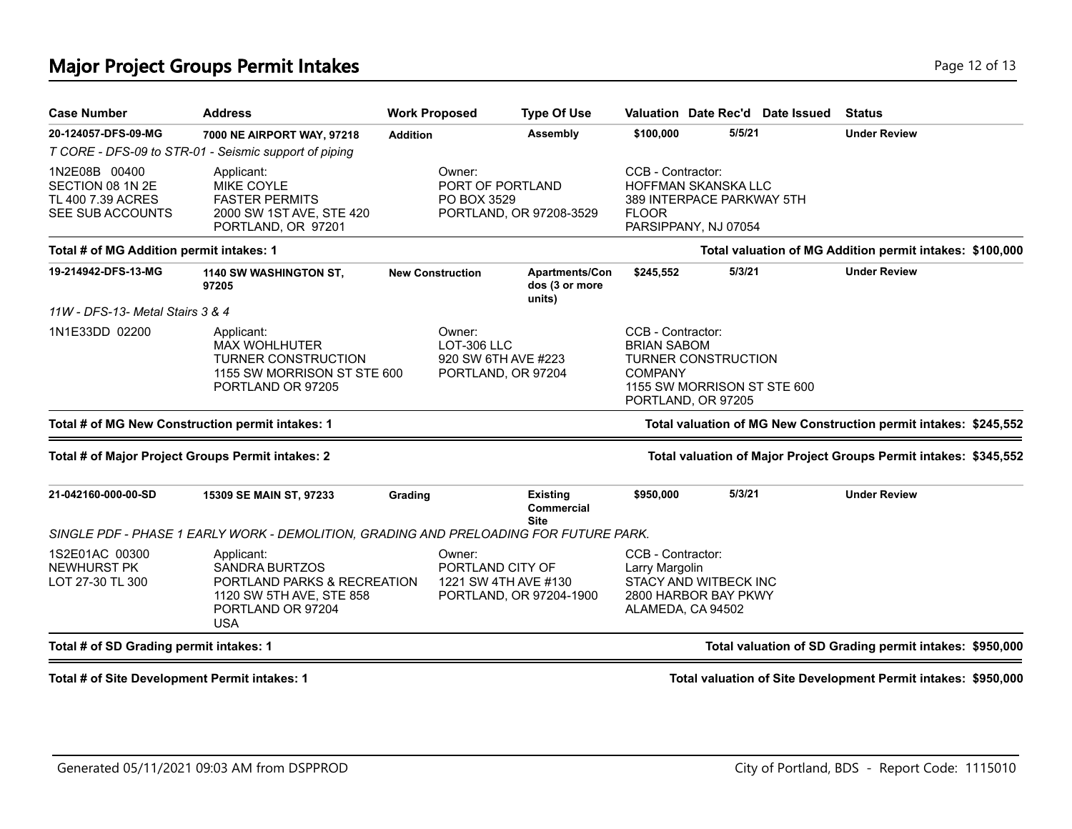## **Major Project Groups Permit Intakes Page 12 of 13** and the page 12 of 13 and the page 12 of 13 and the page 12 of 13

| <b>Case Number</b>                                                         | <b>Address</b>                                                                                                                    |                                                                    | <b>Work Proposed</b>                               | <b>Type Of Use</b>                           |                                                           |                                                                          | Valuation Date Rec'd Date Issued | <b>Status</b>                                                     |  |  |
|----------------------------------------------------------------------------|-----------------------------------------------------------------------------------------------------------------------------------|--------------------------------------------------------------------|----------------------------------------------------|----------------------------------------------|-----------------------------------------------------------|--------------------------------------------------------------------------|----------------------------------|-------------------------------------------------------------------|--|--|
| 20-124057-DFS-09-MG                                                        | 7000 NE AIRPORT WAY, 97218                                                                                                        | <b>Addition</b>                                                    |                                                    | Assembly                                     | \$100,000                                                 | 5/5/21                                                                   |                                  | <b>Under Review</b>                                               |  |  |
|                                                                            | T CORE - DFS-09 to STR-01 - Seismic support of piping                                                                             |                                                                    |                                                    |                                              |                                                           |                                                                          |                                  |                                                                   |  |  |
| 1N2E08B 00400<br>SECTION 08 1N 2E<br>TL 400 7.39 ACRES<br>SEE SUB ACCOUNTS | Applicant:<br>MIKE COYLE<br><b>FASTER PERMITS</b><br>2000 SW 1ST AVE, STE 420<br>PORTLAND, OR 97201                               |                                                                    | Owner:<br>PORT OF PORTLAND<br>PO BOX 3529          | PORTLAND, OR 97208-3529                      | CCB - Contractor:<br><b>FLOOR</b>                         | HOFFMAN SKANSKA LLC<br>389 INTERPACE PARKWAY 5TH<br>PARSIPPANY, NJ 07054 |                                  |                                                                   |  |  |
| Total # of MG Addition permit intakes: 1                                   |                                                                                                                                   |                                                                    |                                                    |                                              |                                                           |                                                                          |                                  | Total valuation of MG Addition permit intakes: \$100,000          |  |  |
| 19-214942-DFS-13-MG                                                        | 1140 SW WASHINGTON ST,<br>97205                                                                                                   |                                                                    | <b>New Construction</b>                            | Apartments/Con<br>dos (3 or more<br>units)   | \$245,552                                                 | 5/3/21                                                                   |                                  | <b>Under Review</b>                                               |  |  |
| 11W - DFS-13- Metal Stairs 3 & 4                                           |                                                                                                                                   |                                                                    |                                                    |                                              |                                                           |                                                                          |                                  |                                                                   |  |  |
| 1N1E33DD 02200                                                             | Applicant:<br><b>MAX WOHLHUTER</b><br><b>TURNER CONSTRUCTION</b><br>1155 SW MORRISON ST STE 600<br>PORTLAND OR 97205              | Owner:<br>LOT-306 LLC<br>920 SW 6TH AVE #223<br>PORTLAND, OR 97204 |                                                    |                                              | CCB - Contractor:<br><b>BRIAN SABOM</b><br><b>COMPANY</b> | <b>TURNER CONSTRUCTION</b><br>PORTLAND, OR 97205                         | 1155 SW MORRISON ST STE 600      |                                                                   |  |  |
|                                                                            | Total # of MG New Construction permit intakes: 1                                                                                  |                                                                    |                                                    |                                              |                                                           |                                                                          |                                  | Total valuation of MG New Construction permit intakes: \$245,552  |  |  |
|                                                                            | Total # of Major Project Groups Permit intakes: 2                                                                                 |                                                                    |                                                    |                                              |                                                           |                                                                          |                                  | Total valuation of Major Project Groups Permit intakes: \$345,552 |  |  |
| 21-042160-000-00-SD                                                        | 15309 SE MAIN ST, 97233                                                                                                           | Grading                                                            |                                                    | <b>Existing</b><br>Commercial<br><b>Site</b> | \$950,000                                                 | 5/3/21                                                                   |                                  | <b>Under Review</b>                                               |  |  |
|                                                                            | SINGLE PDF - PHASE 1 EARLY WORK - DEMOLITION, GRADING AND PRELOADING FOR FUTURE PARK.                                             |                                                                    |                                                    |                                              |                                                           |                                                                          |                                  |                                                                   |  |  |
| 1S2E01AC 00300<br><b>NEWHURST PK</b><br>LOT 27-30 TL 300                   | Applicant:<br><b>SANDRA BURTZOS</b><br>PORTLAND PARKS & RECREATION<br>1120 SW 5TH AVE, STE 858<br>PORTLAND OR 97204<br><b>USA</b> |                                                                    | Owner:<br>PORTLAND CITY OF<br>1221 SW 4TH AVE #130 | PORTLAND, OR 97204-1900                      | CCB - Contractor:<br>Larry Margolin                       | STACY AND WITBECK INC<br>2800 HARBOR BAY PKWY<br>ALAMEDA, CA 94502       |                                  |                                                                   |  |  |
| Total # of SD Grading permit intakes: 1                                    |                                                                                                                                   |                                                                    |                                                    |                                              |                                                           |                                                                          |                                  | Total valuation of SD Grading permit intakes: \$950,000           |  |  |

**Total # of Site Development Permit intakes: 1 Total valuation of Site Development Permit intakes: \$950,000**